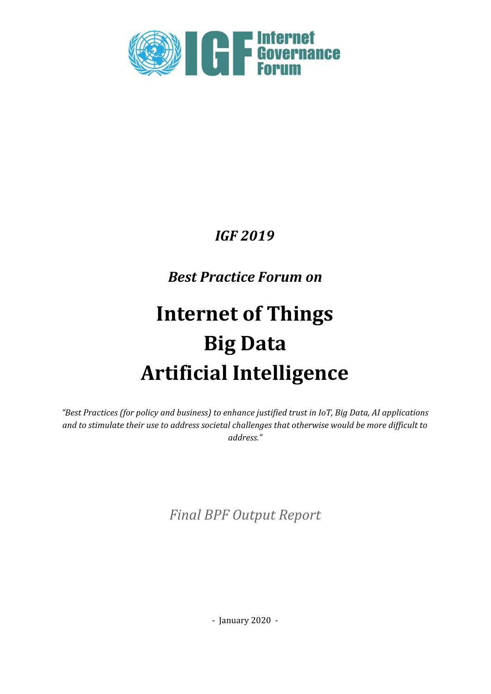

# *IGF 2019*

# *Best Practice Forum on*

# **Internet of Things Big Data Artificial Intelligence**

*"Best Practices (for policy and business) to enhance justified trust in IoT, Big Data, AI applications and to stimulate their use to address societal challenges that otherwise would be more dif icult to address."*

*Final BPF Output Report*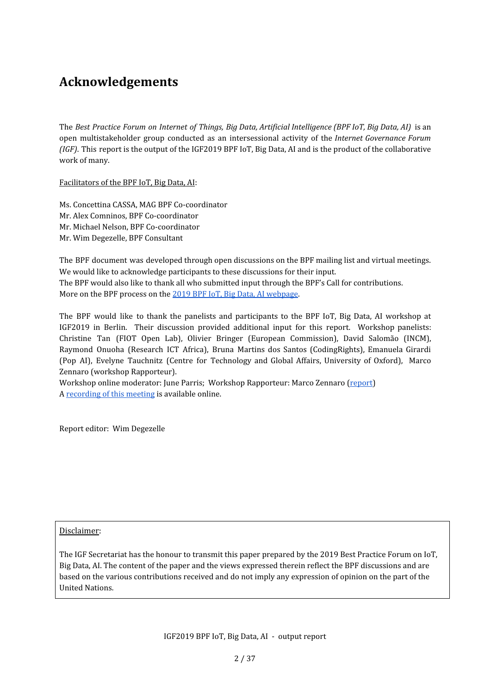# <span id="page-1-0"></span>**Acknowledgements**

The *Best Practice Forum on Internet of Things, Big Data, Artificial Intelligence (BPF IoT, Big Data, AI)* is an open multistakeholder group conducted as an intersessional activity of the *Internet Governance Forum (IGF)*. This report is the output of the IGF2019 BPF IoT, Big Data, AI and is the product of the collaborative work of many.

Facilitators of the BPF IoT, Big Data, AI:

Ms. Concettina CASSA, MAG BPF Co-coordinator Mr. Alex Comninos, BPF Co-coordinator Mr. Michael Nelson, BPF Co-coordinator Mr. Wim Degezelle, BPF Consultant

The BPF document was developed through open discussions on the BPF mailing list and virtual meetings. We would like to acknowledge participants to these discussions for their input. The BPF would also like to thank all who submitted input through the BPF's Call for contributions. More on the BPF process on the 2019 BPF IoT, Big Data, AI [webpage.](https://www.intgovforum.org/multilingual/content/bpf-internet-of-things-iot-big-data-and-artificial-intelligence-ai)

The BPF would like to thank the panelists and participants to the BPF IoT, Big Data, AI workshop at IGF2019 in Berlin. Their discussion provided additional input for this report. Workshop panelists: Christine Tan (FIOT Open Lab), Olivier Bringer (European Commission), David Salomão (INCM), Raymond Onuoha (Research ICT Africa), Bruna Martins dos Santos (CodingRights), Emanuela Girardi (Pop AI), Evelyne Tauchnitz (Centre for Technology and Global Affairs, University of Oxford), Marco Zennaro (workshop Rapporteur).

Workshop online moderator: June Parris; Workshop Rapporteur: Marco Zennaro [\(report\)](https://www.intgovforum.org/multilingual/content/bpf-internet-of-things-iot-big-data-and-artificial-intelligence-ai-0) A [recording](https://www.intgovforum.org/multilingual/content/igf-2019-%E2%80%93-day-3-%E2%80%93-estrel-saal-c-%E2%80%93-bpf-internet-of-things-iot-big-data-and-artificial) of this meeting is available online.

Report editor: Wim Degezelle

#### Disclaimer:

The IGF Secretariat has the honour to transmit this paper prepared by the 2019 Best Practice Forum on IoT, Big Data, AI. The content of the paper and the views expressed therein reflect the BPF discussions and are based on the various contributions received and do not imply any expression of opinion on the part of the United Nations.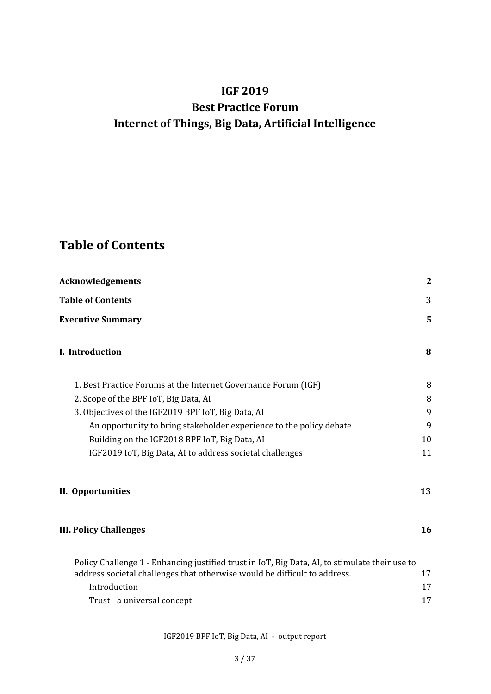# **IGF 2019 Best Practice Forum Internet of Things, Big Data, Artificial Intelligence**

# <span id="page-2-0"></span>**Table of Contents**

| <b>Acknowledgements</b>                                                                        | $\overline{2}$ |
|------------------------------------------------------------------------------------------------|----------------|
| <b>Table of Contents</b>                                                                       | 3              |
| <b>Executive Summary</b>                                                                       | 5              |
| I. Introduction                                                                                | 8              |
| 1. Best Practice Forums at the Internet Governance Forum (IGF)                                 | 8              |
| 2. Scope of the BPF IoT, Big Data, AI                                                          | 8              |
| 3. Objectives of the IGF2019 BPF IoT, Big Data, AI                                             | 9              |
| An opportunity to bring stakeholder experience to the policy debate                            | 9              |
| Building on the IGF2018 BPF IoT, Big Data, AI                                                  | 10             |
| IGF2019 IoT, Big Data, AI to address societal challenges                                       | 11             |
| II. Opportunities                                                                              | 13             |
| <b>III. Policy Challenges</b>                                                                  | 16             |
| Policy Challenge 1 - Enhancing justified trust in IoT, Big Data, AI, to stimulate their use to |                |
| address societal challenges that otherwise would be difficult to address.                      | 17             |
| Introduction                                                                                   | 17             |
| Trust - a universal concept                                                                    | 17             |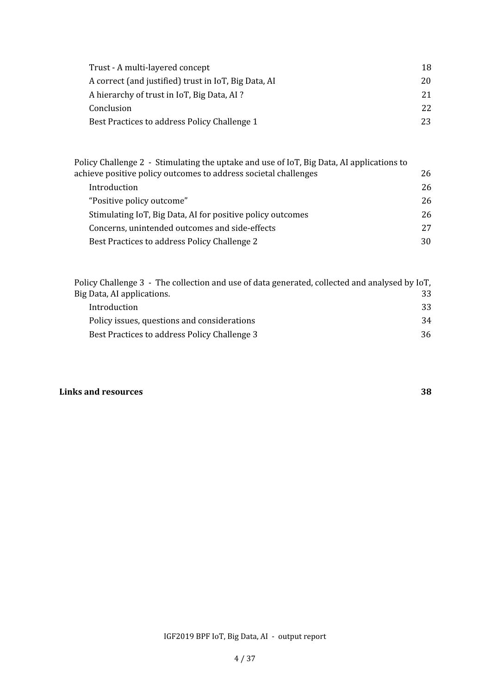| Trust - A multi-layered concept                      | 18. |
|------------------------------------------------------|-----|
| A correct (and justified) trust in IoT, Big Data, AI | 20  |
| A hierarchy of trust in IoT, Big Data, AI?           | 21. |
| Conclusion                                           | 22. |
| Best Practices to address Policy Challenge 1         | 23  |

| Policy Challenge 2 - Stimulating the uptake and use of IoT, Big Data, AI applications to |     |
|------------------------------------------------------------------------------------------|-----|
| achieve positive policy outcomes to address societal challenges                          | 26  |
| Introduction                                                                             | 26  |
| "Positive policy outcome"                                                                | 26  |
| Stimulating IoT, Big Data, AI for positive policy outcomes                               | 26  |
| Concerns, unintended outcomes and side-effects                                           | 27  |
| Best Practices to address Policy Challenge 2                                             | 30. |

| Policy Challenge 3 - The collection and use of data generated, collected and analysed by IoT, |    |
|-----------------------------------------------------------------------------------------------|----|
| Big Data, AI applications.                                                                    | 33 |
| Introduction                                                                                  | 33 |
| Policy issues, questions and considerations                                                   | 34 |
| Best Practices to address Policy Challenge 3                                                  | 36 |
|                                                                                               |    |

#### **Links and [resources](#page-36-0) [38](#page-36-0)**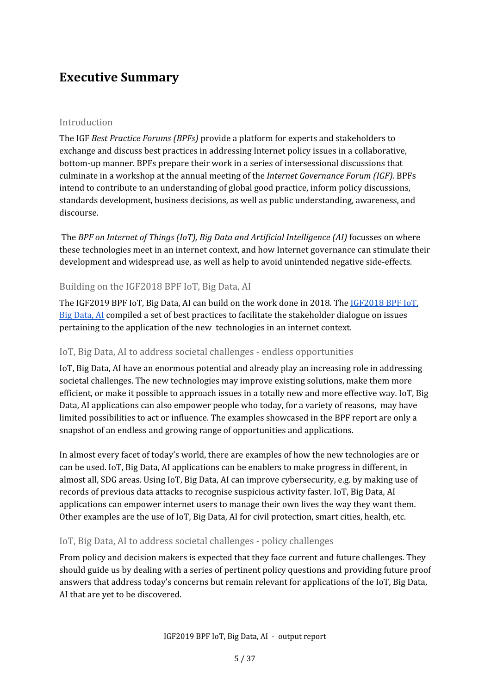### <span id="page-4-0"></span>**Executive Summary**

#### Introduction

The IGF *Best Practice Forums (BPFs)* provide a platform for experts and stakeholders to exchange and discuss best practices in addressing Internet policy issues in a collaborative, bottom-up manner. BPFs prepare their work in a series of intersessional discussions that culminate in a workshop at the annual meeting of the *Internet Governance Forum (IGF).* BPFs intend to contribute to an understanding of global good practice, inform policy discussions, standards development, business decisions, as well as public understanding, awareness, and discourse.

The *BPF on Internet of Things (IoT), Big Data and Artificial Intelligence (AI)* focusses on where these technologies meet in an internet context, and how Internet governance can stimulate their development and widespread use, as well as help to avoid unintended negative side-effects.

#### Building on the IGF2018 BPF IoT, Big Data, AI

The IGF2019 BPF IoT, Big Data, AI can build on the work done in 2018. The [IGF2018](https://www.intgovforum.org/multilingual/content/bpf-internet-of-things-iot-big-data-and-artificial-intelligence-ai-2018) BPF IoT, Big [Data,](https://www.intgovforum.org/multilingual/content/bpf-internet-of-things-iot-big-data-and-artificial-intelligence-ai-2018) AI compiled a set of best practices to facilitate the stakeholder dialogue on issues pertaining to the application of the new technologies in an internet context.

#### IoT, Big Data, AI to address societal challenges - endless opportunities

IoT, Big Data, AI have an enormous potential and already play an increasing role in addressing societal challenges. The new technologies may improve existing solutions, make them more efficient, or make it possible to approach issues in a totally new and more effective way. IoT, Big Data, AI applications can also empower people who today, for a variety of reasons, may have limited possibilities to act or influence. The examples showcased in the BPF report are only a snapshot of an endless and growing range of opportunities and applications.

In almost every facet of today's world, there are examples of how the new technologies are or can be used. IoT, Big Data, AI applications can be enablers to make progress in different, in almost all, SDG areas. Using IoT, Big Data, AI can improve cybersecurity, e.g. by making use of records of previous data attacks to recognise suspicious activity faster. IoT, Big Data, AI applications can empower internet users to manage their own lives the way they want them. Other examples are the use of IoT, Big Data, AI for civil protection, smart cities, health, etc.

#### IoT, Big Data, AI to address societal challenges - policy challenges

From policy and decision makers is expected that they face current and future challenges. They should guide us by dealing with a series of pertinent policy questions and providing future proof answers that address today's concerns but remain relevant for applications of the IoT, Big Data, AI that are yet to be discovered.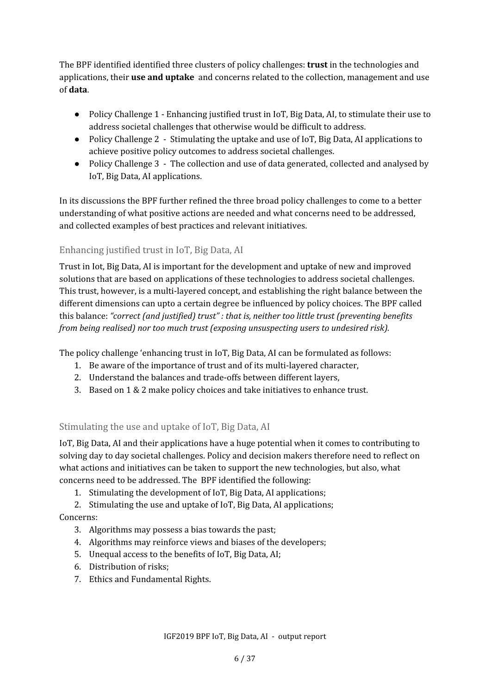The BPF identified identified three clusters of policy challenges: **trust** in the technologies and applications, their **use and uptake** and concerns related to the collection, management and use of **data**.

- Policy Challenge 1 Enhancing justified trust in IoT, Big Data, AI, to stimulate their use to address societal challenges that otherwise would be difficult to address.
- Policy Challenge 2 Stimulating the uptake and use of IoT, Big Data, AI applications to achieve positive policy outcomes to address societal challenges.
- Policy Challenge 3 The collection and use of data generated, collected and analysed by IoT, Big Data, AI applications.

In its discussions the BPF further refined the three broad policy challenges to come to a better understanding of what positive actions are needed and what concerns need to be addressed, and collected examples of best practices and relevant initiatives.

#### Enhancing justified trust in IoT, Big Data, AI

Trust in Iot, Big Data, AI is important for the development and uptake of new and improved solutions that are based on applications of these technologies to address societal challenges. This trust, however, is a multi-layered concept, and establishing the right balance between the different dimensions can upto a certain degree be influenced by policy choices. The BPF called this balance: *"correct (and justified) trust" : that is, neither too little trust (preventing benefits from being realised) nor too much trust (exposing unsuspecting users to undesired risk).*

The policy challenge 'enhancing trust in IoT, Big Data, AI can be formulated as follows:

- 1. Be aware of the importance of trust and of its multi-layered character,
- 2. Understand the balances and trade-offs between different layers,
- 3. Based on 1 & 2 make policy choices and take initiatives to enhance trust.

#### Stimulating the use and uptake of IoT, Big Data, AI

IoT, Big Data, AI and their applications have a huge potential when it comes to contributing to solving day to day societal challenges. Policy and decision makers therefore need to reflect on what actions and initiatives can be taken to support the new technologies, but also, what concerns need to be addressed. The BPF identified the following:

1. Stimulating the development of IoT, Big Data, AI applications;

2. Stimulating the use and uptake of IoT, Big Data, AI applications;

Concerns:

- 3. Algorithms may possess a bias towards the past;
- 4. Algorithms may reinforce views and biases of the developers;
- 5. Unequal access to the benefits of IoT, Big Data, AI;
- 6. Distribution of risks;
- 7. Ethics and Fundamental Rights.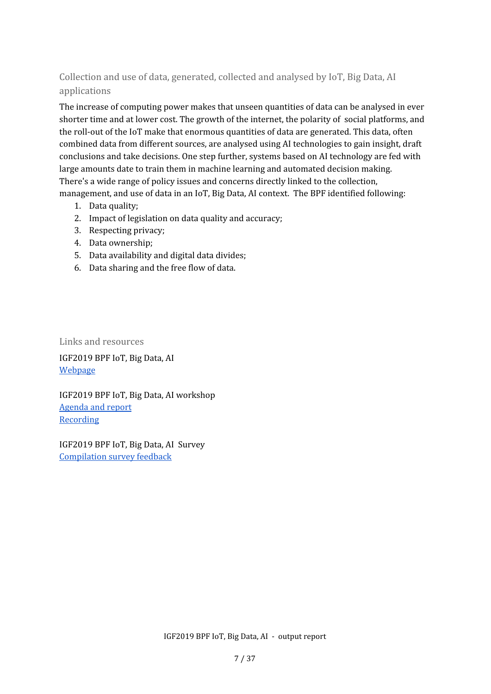#### Collection and use of data, generated, collected and analysed by IoT, Big Data, AI applications

The increase of computing power makes that unseen quantities of data can be analysed in ever shorter time and at lower cost. The growth of the internet, the polarity of social platforms, and the roll-out of the IoT make that enormous quantities of data are generated. This data, often combined data from different sources, are analysed using AI technologies to gain insight, draft conclusions and take decisions. One step further, systems based on AI technology are fed with large amounts date to train them in machine learning and automated decision making. There's a wide range of policy issues and concerns directly linked to the collection, management, and use of data in an IoT, Big Data, AI context. The BPF identified following:

- 1. Data quality;
- 2. Impact of legislation on data quality and accuracy;
- 3. Respecting privacy;
- 4. Data ownership;
- 5. Data availability and digital data divides;
- 6. Data sharing and the free flow of data.

Links and resources IGF2019 BPF IoT, Big Data, AI

[Webpage](https://www.intgovforum.org/multilingual/content/bpf-internet-of-things-iot-big-data-and-artificial-intelligence-ai)

IGF2019 BPF IoT, Big Data, AI workshop [Agenda](https://www.intgovforum.org/multilingual/content/bpf-internet-of-things-iot-big-data-and-artificial-intelligence-ai-0) and report **[Recording](https://youtu.be/I398qfiRIbs)** 

IGF2019 BPF IoT, Big Data, AI Survey [Compilation](https://www.intgovforum.org/multilingual/filedepot_download/8398/1914) survey feedback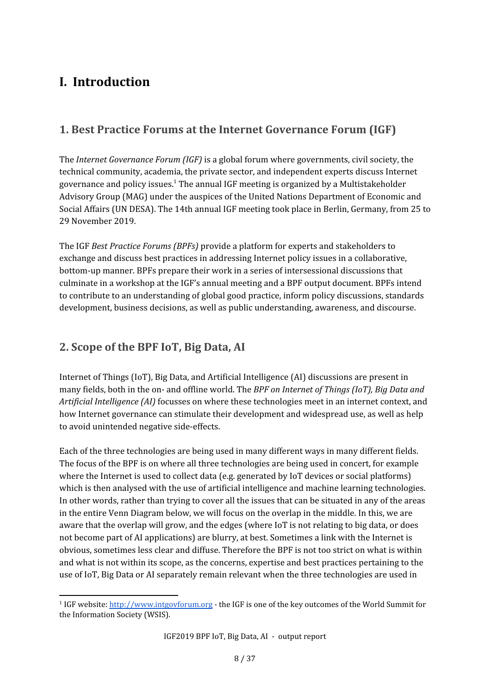# <span id="page-7-0"></span>**I. Introduction**

### <span id="page-7-1"></span>**1. Best Practice Forums at the Internet Governance Forum (IGF)**

The *Internet Governance Forum (IGF)* is a global forum where governments, civil society, the technical community, academia, the private sector, and independent experts discuss Internet governance and policy issues. $^{\rm 1}$  The annual IGF meeting is organized by a Multistakeholder Advisory Group (MAG) under the auspices of the United Nations Department of Economic and Social Affairs (UN DESA). The 14th annual IGF meeting took place in Berlin, Germany, from 25 to 29 November 2019.

The IGF *Best Practice Forums (BPFs)* provide a platform for experts and stakeholders to exchange and discuss best practices in addressing Internet policy issues in a collaborative, bottom-up manner. BPFs prepare their work in a series of intersessional discussions that culminate in a workshop at the IGF's annual meeting and a BPF output document. BPFs intend to contribute to an understanding of global good practice, inform policy discussions, standards development, business decisions, as well as public understanding, awareness, and discourse.

### <span id="page-7-2"></span>**2. Scope of the BPF IoT, Big Data, AI**

Internet of Things (IoT), Big Data, and Artificial Intelligence (AI) discussions are present in many fields, both in the on- and offline world. The *BPF on Internet of Things (IoT), Big Data and Artificial Intelligence (AI)* focusses on where these technologies meet in an internet context, and how Internet governance can stimulate their development and widespread use, as well as help to avoid unintended negative side-effects.

Each of the three technologies are being used in many different ways in many different fields. The focus of the BPF is on where all three technologies are being used in concert, for example where the Internet is used to collect data (e.g. generated by IoT devices or social platforms) which is then analysed with the use of artificial intelligence and machine learning technologies. In other words, rather than trying to cover all the issues that can be situated in any of the areas in the entire Venn Diagram below, we will focus on the overlap in the middle. In this, we are aware that the overlap will grow, and the edges (where IoT is not relating to big data, or does not become part of AI applications) are blurry, at best. Sometimes a link with the Internet is obvious, sometimes less clear and diffuse. Therefore the BPF is not too strict on what is within and what is not within its scope, as the concerns, expertise and best practices pertaining to the use of IoT, Big Data or AI separately remain relevant when the three technologies are used in

<sup>&</sup>lt;sup>1</sup> IGF website: [http://www.intgovforum.org](http://www.intgovforum.org/) - the IGF is one of the key outcomes of the World Summit for the Information Society (WSIS).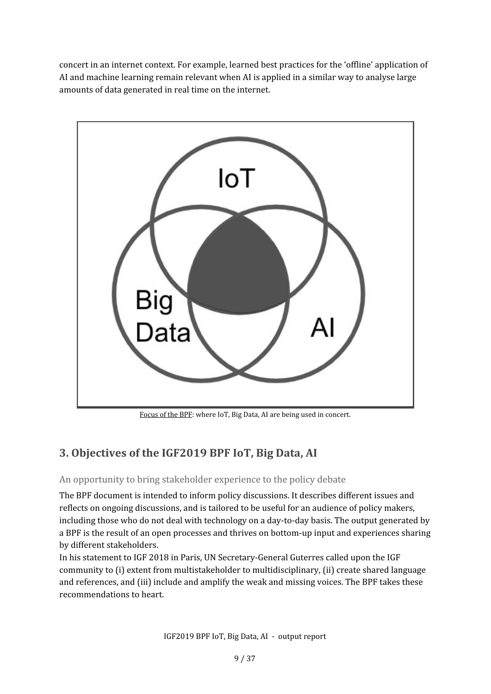concert in an internet context. For example, learned best practices for the 'offline' application of AI and machine learning remain relevant when AI is applied in a similar way to analyse large amounts of data generated in real time on the internet.



Focus of the BPF: where IoT, Big Data, AI are being used in concert.

### <span id="page-8-0"></span>**3. Objectives of the IGF2019 BPF IoT, Big Data, AI**

#### <span id="page-8-1"></span>An opportunity to bring stakeholder experience to the policy debate

The BPF document is intended to inform policy discussions. It describes different issues and reflects on ongoing discussions, and is tailored to be useful for an audience of policy makers, including those who do not deal with technology on a day-to-day basis. The output generated by a BPF is the result of an open processes and thrives on bottom-up input and experiences sharing by different stakeholders.

In his statement to IGF 2018 in Paris, UN Secretary-General Guterres called upon the IGF community to (i) extent from multistakeholder to multidisciplinary, (ii) create shared language and references, and (iii) include and amplify the weak and missing voices. The BPF takes these recommendations to heart.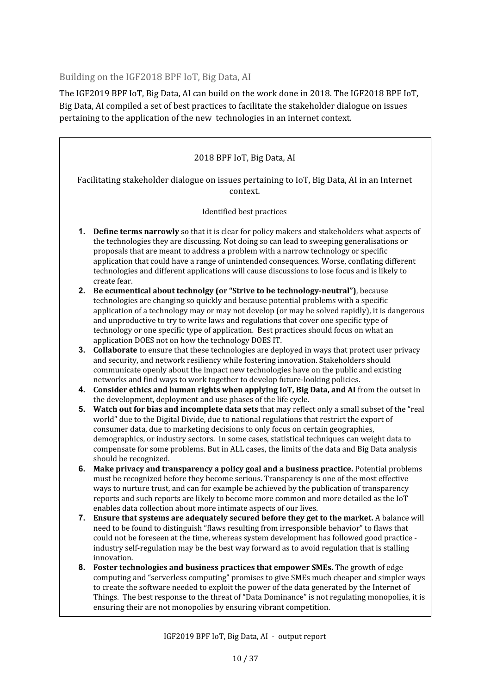<span id="page-9-0"></span>Building on the IGF2018 BPF IoT, Big Data, AI

The IGF2019 BPF IoT, Big Data, AI can build on the work done in 2018. The IGF2018 BPF IoT, Big Data, AI compiled a set of best practices to facilitate the stakeholder dialogue on issues pertaining to the application of the new technologies in an internet context.

|                                                                                                        | 2018 BPF IoT, Big Data, AI                                                                                                                                                                                                                                                                                                                                                                                                                                                                              |  |  |
|--------------------------------------------------------------------------------------------------------|---------------------------------------------------------------------------------------------------------------------------------------------------------------------------------------------------------------------------------------------------------------------------------------------------------------------------------------------------------------------------------------------------------------------------------------------------------------------------------------------------------|--|--|
| Facilitating stakeholder dialogue on issues pertaining to IoT, Big Data, AI in an Internet<br>context. |                                                                                                                                                                                                                                                                                                                                                                                                                                                                                                         |  |  |
|                                                                                                        | Identified best practices                                                                                                                                                                                                                                                                                                                                                                                                                                                                               |  |  |
| 1.                                                                                                     | <b>Define terms narrowly</b> so that it is clear for policy makers and stakeholders what aspects of<br>the technologies they are discussing. Not doing so can lead to sweeping generalisations or<br>proposals that are meant to address a problem with a narrow technology or specific<br>application that could have a range of unintended consequences. Worse, conflating different<br>technologies and different applications will cause discussions to lose focus and is likely to<br>create fear. |  |  |
| 2.                                                                                                     | Be ecumentical about technolgy (or "Strive to be technology-neutral"), because<br>technologies are changing so quickly and because potential problems with a specific                                                                                                                                                                                                                                                                                                                                   |  |  |
|                                                                                                        | application of a technology may or may not develop (or may be solved rapidly), it is dangerous<br>and unproductive to try to write laws and regulations that cover one specific type of<br>technology or one specific type of application. Best practices should focus on what an<br>application DOES not on how the technology DOES IT.                                                                                                                                                                |  |  |
| 3.                                                                                                     | Collaborate to ensure that these technologies are deployed in ways that protect user privacy<br>and security, and network resiliency while fostering innovation. Stakeholders should                                                                                                                                                                                                                                                                                                                    |  |  |
|                                                                                                        | communicate openly about the impact new technologies have on the public and existing<br>networks and find ways to work together to develop future-looking policies.                                                                                                                                                                                                                                                                                                                                     |  |  |
| 4.                                                                                                     | Consider ethics and human rights when applying IoT, Big Data, and AI from the outset in                                                                                                                                                                                                                                                                                                                                                                                                                 |  |  |
| 5.                                                                                                     | the development, deployment and use phases of the life cycle.<br>Watch out for bias and incomplete data sets that may reflect only a small subset of the "real                                                                                                                                                                                                                                                                                                                                          |  |  |
|                                                                                                        | world" due to the Digital Divide, due to national regulations that restrict the export of                                                                                                                                                                                                                                                                                                                                                                                                               |  |  |
|                                                                                                        | consumer data, due to marketing decisions to only focus on certain geographies,                                                                                                                                                                                                                                                                                                                                                                                                                         |  |  |
|                                                                                                        | demographics, or industry sectors. In some cases, statistical techniques can weight data to<br>compensate for some problems. But in ALL cases, the limits of the data and Big Data analysis<br>should be recognized.                                                                                                                                                                                                                                                                                    |  |  |
| 6.                                                                                                     | Make privacy and transparency a policy goal and a business practice. Potential problems                                                                                                                                                                                                                                                                                                                                                                                                                 |  |  |
|                                                                                                        | must be recognized before they become serious. Transparency is one of the most effective                                                                                                                                                                                                                                                                                                                                                                                                                |  |  |
|                                                                                                        | ways to nurture trust, and can for example be achieved by the publication of transparency                                                                                                                                                                                                                                                                                                                                                                                                               |  |  |
|                                                                                                        | reports and such reports are likely to become more common and more detailed as the IoT<br>enables data collection about more intimate aspects of our lives.                                                                                                                                                                                                                                                                                                                                             |  |  |
| 7.                                                                                                     | Ensure that systems are adequately secured before they get to the market. A balance will                                                                                                                                                                                                                                                                                                                                                                                                                |  |  |
|                                                                                                        | need to be found to distinguish "flaws resulting from irresponsible behavior" to flaws that<br>could not be foreseen at the time, whereas system development has followed good practice -<br>industry self-regulation may be the best way forward as to avoid regulation that is stalling<br>innovation.                                                                                                                                                                                                |  |  |
| 8.                                                                                                     | Foster technologies and business practices that empower SMEs. The growth of edge                                                                                                                                                                                                                                                                                                                                                                                                                        |  |  |
|                                                                                                        | computing and "serverless computing" promises to give SMEs much cheaper and simpler ways                                                                                                                                                                                                                                                                                                                                                                                                                |  |  |
|                                                                                                        | to create the software needed to exploit the power of the data generated by the Internet of<br>Things. The best response to the threat of "Data Dominance" is not regulating monopolies, it is<br>ensuring their are not monopolies by ensuring vibrant competition.                                                                                                                                                                                                                                    |  |  |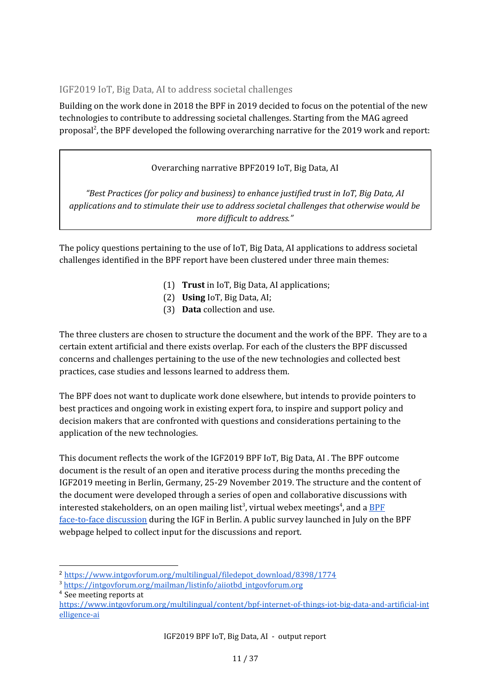#### <span id="page-10-0"></span>IGF2019 IoT, Big Data, AI to address societal challenges

Building on the work done in 2018 the BPF in 2019 decided to focus on the potential of the new technologies to contribute to addressing societal challenges. Starting from the MAG agreed proposal<sup>2</sup>, the BPF developed the following overarching narrative for the 2019 work and report:

#### Overarching narrative BPF2019 IoT, Big Data, AI

*"Best Practices (for policy and business) to enhance justified trust in IoT, Big Data, AI applications and to stimulate their use to address societal challenges that otherwise would be more dif icult to address."*

The policy questions pertaining to the use of IoT, Big Data, AI applications to address societal challenges identified in the BPF report have been clustered under three main themes:

- (1) **Trust** in IoT, Big Data, AI applications;
- (2) **Using** IoT, Big Data, AI;
- (3) **Data** collection and use.

The three clusters are chosen to structure the document and the work of the BPF. They are to a certain extent artificial and there exists overlap. For each of the clusters the BPF discussed concerns and challenges pertaining to the use of the new technologies and collected best practices, case studies and lessons learned to address them.

The BPF does not want to duplicate work done elsewhere, but intends to provide pointers to best practices and ongoing work in existing expert fora, to inspire and support policy and decision makers that are confronted with questions and considerations pertaining to the application of the new technologies.

This document reflects the work of the IGF2019 BPF IoT, Big Data, AI . The BPF outcome document is the result of an open and iterative process during the months preceding the IGF2019 meeting in Berlin, Germany, 25-29 November 2019. The structure and the content of the document were developed through a series of open and collaborative discussions with interested stakeholders, on an open mailing list<sup>3</sup>, virtual webex meetings<sup>4</sup>, and a <u>[BPF](https://www.intgovforum.org/multilingual/content/igf-2019-%E2%80%93-day-3-%E2%80%93-estrel-saal-c-%E2%80%93-bpf-internet-of-things-iot-big-data-and-artificial)</u> [face-to-face](https://www.intgovforum.org/multilingual/content/igf-2019-%E2%80%93-day-3-%E2%80%93-estrel-saal-c-%E2%80%93-bpf-internet-of-things-iot-big-data-and-artificial) discussion during the IGF in Berlin. A public survey launched in July on the BPF webpage helped to collect input for the discussions and report.

<sup>2</sup> [https://www.intgovforum.org/multilingual/filedepot\\_download/8398/1774](https://www.intgovforum.org/multilingual/filedepot_download/8398/1774)

<sup>&</sup>lt;sup>3</sup> [https://intgovforum.org/mailman/listinfo/aiiotbd\\_intgovforum.org](https://intgovforum.org/mailman/listinfo/aiiotbd_intgovforum.org)

<sup>4</sup> See meeting reports at

[https://www.intgovforum.org/multilingual/content/bpf-internet-of-things-iot-big-data-and-artificial-int](https://www.intgovforum.org/multilingual/content/bpf-internet-of-things-iot-big-data-and-artificial-intelligence-ai) [elligence-ai](https://www.intgovforum.org/multilingual/content/bpf-internet-of-things-iot-big-data-and-artificial-intelligence-ai)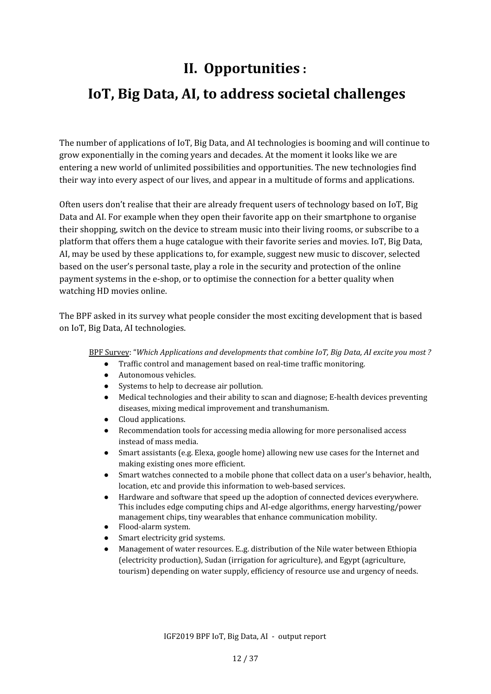# **II. Opportunities :**

# <span id="page-11-0"></span> **IoT, Big Data, AI, to address societal challenges**

The number of applications of IoT, Big Data, and AI technologies is booming and will continue to grow exponentially in the coming years and decades. At the moment it looks like we are entering a new world of unlimited possibilities and opportunities. The new technologies find their way into every aspect of our lives, and appear in a multitude of forms and applications.

Often users don't realise that their are already frequent users of technology based on IoT, Big Data and AI. For example when they open their favorite app on their smartphone to organise their shopping, switch on the device to stream music into their living rooms, or subscribe to a platform that offers them a huge catalogue with their favorite series and movies. IoT, Big Data, AI, may be used by these applications to, for example, suggest new music to discover, selected based on the user's personal taste, play a role in the security and protection of the online payment systems in the e-shop, or to optimise the connection for a better quality when watching HD movies online.

The BPF asked in its survey what people consider the most exciting development that is based on IoT, Big Data, AI technologies.

BPF Survey: "*Which Applications and developments that combine IoT, Big Data, AI excite you most ?*

- Traffic control and management based on real-time traffic monitoring.
- Autonomous vehicles.
- Systems to help to decrease air pollution.
- Medical technologies and their ability to scan and diagnose; E-health devices preventing diseases, mixing medical improvement and transhumanism.
- Cloud applications.
- Recommendation tools for accessing media allowing for more personalised access instead of mass media.
- Smart assistants (e.g. Elexa, google home) allowing new use cases for the Internet and making existing ones more efficient.
- Smart watches connected to a mobile phone that collect data on a user's behavior, health, location, etc and provide this information to web-based services.
- Hardware and software that speed up the adoption of connected devices everywhere. This includes edge computing chips and AI-edge algorithms, energy harvesting/power management chips, tiny wearables that enhance communication mobility.
- Flood-alarm system.
- Smart electricity grid systems.
- Management of water resources. E..g. distribution of the Nile water between Ethiopia (electricity production), Sudan (irrigation for agriculture), and Egypt (agriculture, tourism) depending on water supply, efficiency of resource use and urgency of needs.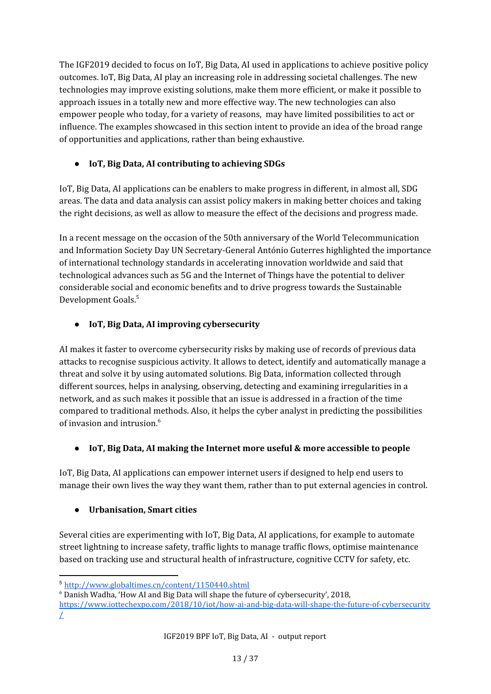The IGF2019 decided to focus on IoT, Big Data, AI used in applications to achieve positive policy outcomes. IoT, Big Data, AI play an increasing role in addressing societal challenges. The new technologies may improve existing solutions, make them more efficient, or make it possible to approach issues in a totally new and more effective way. The new technologies can also empower people who today, for a variety of reasons, may have limited possibilities to act or influence. The examples showcased in this section intent to provide an idea of the broad range of opportunities and applications, rather than being exhaustive.

#### **● IoT, Big Data, AI contributing to achieving SDGs**

IoT, Big Data, AI applications can be enablers to make progress in different, in almost all, SDG areas. The data and data analysis can assist policy makers in making better choices and taking the right decisions, as well as allow to measure the effect of the decisions and progress made.

In a recent message on the occasion of the 50th anniversary of the World Telecommunication and Information Society Day UN Secretary-General António Guterres highlighted the importance of international technology standards in accelerating innovation worldwide and said that technological advances such as 5G and the Internet of Things have the potential to deliver considerable social and economic benefits and to drive progress towards the Sustainable Development Goals. 5

#### **● IoT, Big Data, AI improving cybersecurity**

AI makes it faster to overcome cybersecurity risks by making use of records of previous data attacks to recognise suspicious activity. It allows to detect, identify and automatically manage a threat and solve it by using automated solutions. Big Data, information collected through different sources, helps in analysing, observing, detecting and examining irregularities in a network, and as such makes it possible that an issue is addressed in a fraction of the time compared to traditional methods. Also, it helps the cyber analyst in predicting the possibilities of invasion and intrusion. 6

#### **● IoT, Big Data, AI making the Internet more useful & more accessible to people**

IoT, Big Data, AI applications can empower internet users if designed to help end users to manage their own lives the way they want them, rather than to put external agencies in control.

#### **● Urbanisation, Smart cities**

Several cities are experimenting with IoT, Big Data, AI applications, for example to automate street lightning to increase safety, traffic lights to manage traffic flows, optimise maintenance based on tracking use and structural health of infrastructure, cognitive CCTV for safety, etc.

<sup>5</sup> <http://www.globaltimes.cn/content/1150440.shtml>

<sup>6</sup> Danish Wadha, 'How AI and Big Data will shape the future of cybersecurity', 2018,

[https://www.iottechexpo.com/2018/10/iot/how-ai-and-big-data-will-shape-the-future-of-cybersecurity](https://www.iottechexpo.com/2018/10/iot/how-ai-and-big-data-will-shape-the-future-of-cybersecurity/)  $\perp$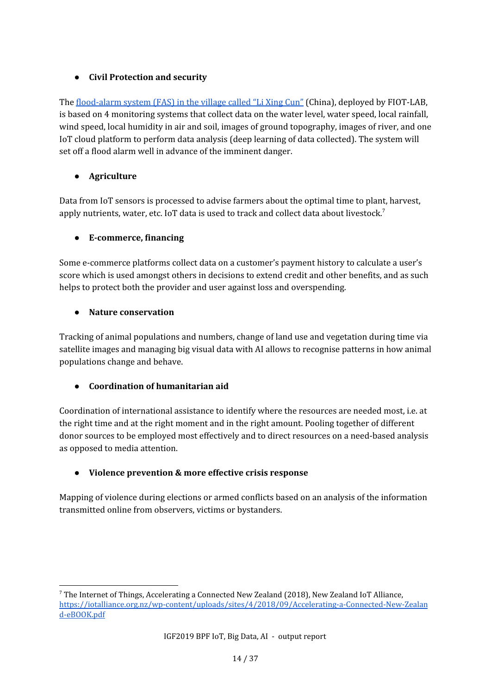#### **● Civil Protection and security**

The [flood-alarm](http://www.fiot-lab.org/cn/?p=news_content&id=26144) system (FAS) in the village called "Li Xing Cun" (China), deployed by FIOT-LAB, is based on 4 monitoring systems that collect data on the water level, water speed, local rainfall, wind speed, local humidity in air and soil, images of ground topography, images of river, and one IoT cloud platform to perform data analysis (deep learning of data collected). The system will set off a flood alarm well in advance of the imminent danger.

#### **● Agriculture**

Data from IoT sensors is processed to advise farmers about the optimal time to plant, harvest, apply nutrients, water, etc. IoT data is used to track and collect data about livestock.<sup>7</sup>

#### **● E-commerce, financing**

Some e-commerce platforms collect data on a customer's payment history to calculate a user's score which is used amongst others in decisions to extend credit and other benefits, and as such helps to protect both the provider and user against loss and overspending.

#### **● Nature conservation**

Tracking of animal populations and numbers, change of land use and vegetation during time via satellite images and managing big visual data with AI allows to recognise patterns in how animal populations change and behave.

#### **● Coordination of humanitarian aid**

Coordination of international assistance to identify where the resources are needed most, i.e. at the right time and at the right moment and in the right amount. Pooling together of different donor sources to be employed most effectively and to direct resources on a need-based analysis as opposed to media attention.

#### **● Violence prevention & more effective crisis response**

Mapping of violence during elections or armed conflicts based on an analysis of the information transmitted online from observers, victims or bystanders.

<sup>7</sup> The Internet of Things, Accelerating a Connected New Zealand (2018), New Zealand IoT Alliance, [https://iotalliance.org.nz/wp-content/uploads/sites/4/2018/09/Accelerating-a-Connected-New-Zealan](https://iotalliance.org.nz/wp-content/uploads/sites/4/2018/09/Accelerating-a-Connected-New-Zealand-eBOOK.pdf) [d-eBOOK.pdf](https://iotalliance.org.nz/wp-content/uploads/sites/4/2018/09/Accelerating-a-Connected-New-Zealand-eBOOK.pdf)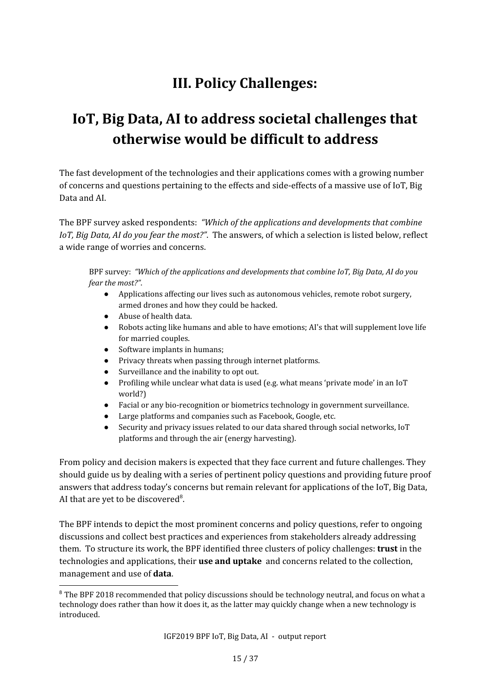# **III. Policy Challenges:**

# <span id="page-14-0"></span>**IoT, Big Data, AI to address societal challenges that otherwise would be difficult to address**

The fast development of the technologies and their applications comes with a growing number of concerns and questions pertaining to the effects and side-effects of a massive use of IoT, Big Data and AI.

The BPF survey asked respondents: *"Which of the applications and developments that combine IoT, Big Data, AI do you fear the most?"*. The answers, of which a selection is listed below, reflect a wide range of worries and concerns.

BPF survey: *"Which of the applications and developments that combine IoT, Big Data, AI do you fear the most?"*.

- Applications affecting our lives such as autonomous vehicles, remote robot surgery, armed drones and how they could be hacked.
- Abuse of health data.
- Robots acting like humans and able to have emotions; AI's that will supplement love life for married couples.
- Software implants in humans;
- Privacy threats when passing through internet platforms.
- Surveillance and the inability to opt out.
- Profiling while unclear what data is used (e.g. what means 'private mode' in an IoT world?)
- Facial or any bio-recognition or biometrics technology in government surveillance.
- Large platforms and companies such as Facebook, Google, etc.
- Security and privacy issues related to our data shared through social networks, IoT platforms and through the air (energy harvesting).

From policy and decision makers is expected that they face current and future challenges. They should guide us by dealing with a series of pertinent policy questions and providing future proof answers that address today's concerns but remain relevant for applications of the IoT, Big Data, AI that are yet to be discovered<sup>8</sup>.

The BPF intends to depict the most prominent concerns and policy questions, refer to ongoing discussions and collect best practices and experiences from stakeholders already addressing them. To structure its work, the BPF identified three clusters of policy challenges: **trust** in the technologies and applications, their **use and uptake** and concerns related to the collection, management and use of **data**.

<sup>&</sup>lt;sup>8</sup> The BPF 2018 recommended that policy discussions should be technology neutral, and focus on what a technology does rather than how it does it, as the latter may quickly change when a new technology is introduced.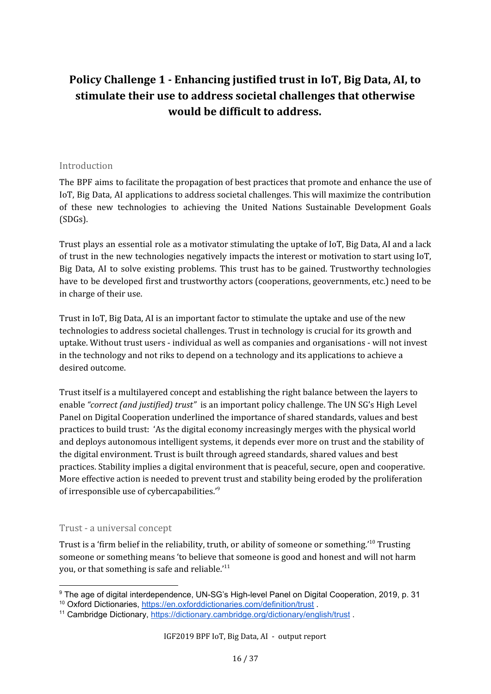## <span id="page-15-0"></span>**Policy Challenge 1 - Enhancing justified trust in IoT, Big Data, AI, to stimulate their use to address societal challenges that otherwise would be difficult to address.**

#### <span id="page-15-1"></span>Introduction

The BPF aims to facilitate the propagation of best practices that promote and enhance the use of IoT, Big Data, AI applications to address societal challenges. This will maximize the contribution of these new technologies to achieving the United Nations Sustainable Development Goals (SDGs).

Trust plays an essential role as a motivator stimulating the uptake of IoT, Big Data, AI and a lack of trust in the new technologies negatively impacts the interest or motivation to start using IoT, Big Data, AI to solve existing problems. This trust has to be gained. Trustworthy technologies have to be developed first and trustworthy actors (cooperations, geovernments, etc.) need to be in charge of their use.

Trust in IoT, Big Data, AI is an important factor to stimulate the uptake and use of the new technologies to address societal challenges. Trust in technology is crucial for its growth and uptake. Without trust users - individual as well as companies and organisations - will not invest in the technology and not riks to depend on a technology and its applications to achieve a desired outcome.

Trust itself is a multilayered concept and establishing the right balance between the layers to enable *"correct (and justified) trust"* is an important policy challenge. The UN SG's High Level Panel on Digital Cooperation underlined the importance of shared standards, values and best practices to build trust: 'As the digital economy increasingly merges with the physical world and deploys autonomous intelligent systems, it depends ever more on trust and the stability of the digital environment. Trust is built through agreed standards, shared values and best practices. Stability implies a digital environment that is peaceful, secure, open and cooperative. More effective action is needed to prevent trust and stability being eroded by the proliferation of irresponsible use of cybercapabilities."<sup>9</sup>

#### <span id="page-15-2"></span>Trust - a universal concept

Trust is a 'firm belief in the reliability, truth, or ability of someone or something.' $^{10}$  Trusting someone or something means 'to believe that someone is good and honest and will not harm you, or that something is safe and reliable.'<sup>11</sup>

<sup>9</sup> The age of digital interdependence, UN-SG's High-level Panel on Digital Cooperation, 2019, p. 31

<sup>&</sup>lt;sup>10</sup> Oxford Dictionaries, <https://en.oxforddictionaries.com/definition/trust>.

<sup>&</sup>lt;sup>11</sup> Cambridge Dictionary, <https://dictionary.cambridge.org/dictionary/english/trust>.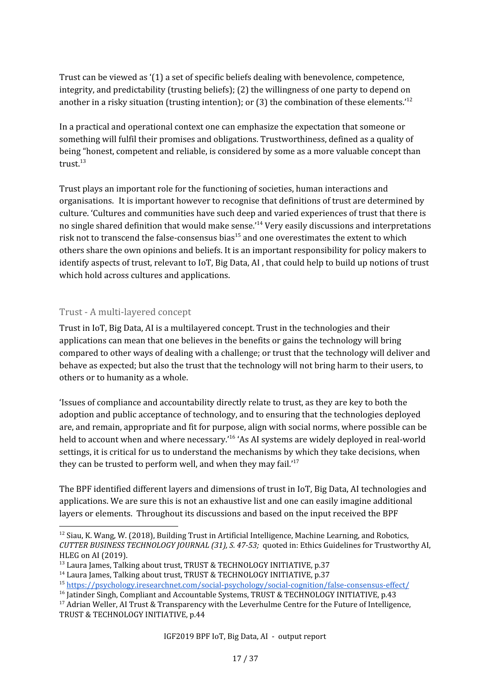Trust can be viewed as '(1) a set of specific beliefs dealing with benevolence, competence, integrity, and predictability (trusting beliefs); (2) the willingness of one party to depend on another in a risky situation (trusting intention); or (3) the combination of these elements.<sup>12</sup>

In a practical and operational context one can emphasize the expectation that someone or something will fulfil their promises and obligations. Trustworthiness, defined as a quality of being "honest, competent and reliable, is considered by some as a more valuable concept than trust. 13

Trust plays an important role for the functioning of societies, human interactions and organisations. It is important however to recognise that definitions of trust are determined by culture. 'Cultures and communities have such deep and varied experiences of trust that there is no single shared definition that would make sense.'<sup>14</sup> Very easily discussions and interpretations risk not to transcend the false-consensus bias $^{15}$  and one overestimates the extent to which others share the own opinions and beliefs. It is an important responsibility for policy makers to identify aspects of trust, relevant to IoT, Big Data, AI , that could help to build up notions of trust which hold across cultures and applications.

#### <span id="page-16-0"></span>Trust - A multi-layered concept

Trust in IoT, Big Data, AI is a multilayered concept. Trust in the technologies and their applications can mean that one believes in the benefits or gains the technology will bring compared to other ways of dealing with a challenge; or trust that the technology will deliver and behave as expected; but also the trust that the technology will not bring harm to their users, to others or to humanity as a whole.

'Issues of compliance and accountability directly relate to trust, as they are key to both the adoption and public acceptance of technology, and to ensuring that the technologies deployed are, and remain, appropriate and fit for purpose, align with social norms, where possible can be held to account when and where necessary.'<sup>16</sup> 'As AI systems are widely deployed in real-world settings, it is critical for us to understand the mechanisms by which they take decisions, when they can be trusted to perform well, and when they may fail.'<sup>17</sup>

The BPF identified different layers and dimensions of trust in IoT, Big Data, AI technologies and applications. We are sure this is not an exhaustive list and one can easily imagine additional layers or elements. Throughout its discussions and based on the input received the BPF

 $12$  Siau, K. Wang, W. (2018), Building Trust in Artificial Intelligence, Machine Learning, and Robotics, *CUTTER BUSINESS TECHNOLOGY JOURNAL (31), S. 47-53;* quoted in: Ethics Guidelines for Trustworthy AI, HLEG on AI (2019).

<sup>&</sup>lt;sup>13</sup> Laura James, Talking about trust, TRUST & TECHNOLOGY INITIATIVE, p.37

<sup>&</sup>lt;sup>14</sup> Laura James, Talking about trust, TRUST & TECHNOLOGY INITIATIVE, p.37

<sup>15</sup> <https://psychology.iresearchnet.com/social-psychology/social-cognition/false-consensus-effect/>

<sup>&</sup>lt;sup>16</sup> Jatinder Singh, Compliant and Accountable Systems, TRUST & TECHNOLOGY INITIATIVE, p.43

 $17$  Adrian Weller, AI Trust & Transparency with the Leverhulme Centre for the Future of Intelligence, TRUST & TECHNOLOGY INITIATIVE, p.44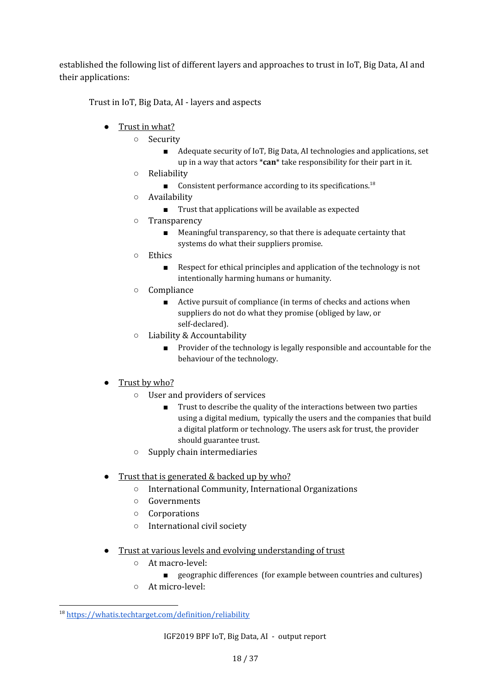established the following list of different layers and approaches to trust in IoT, Big Data, AI and their applications:

Trust in IoT, Big Data, AI - layers and aspects

- Trust in what?
	- Security
		- Adequate security of IoT, Big Data, AI technologies and applications, set up in a way that actors \***can**\* take responsibility for their part in it.
	- Reliability
		- $\blacksquare$  Consistent performance according to its specifications.<sup>18</sup>
	- Availability
		- Trust that applications will be available as expected
	- Transparency
		- Meaningful transparency, so that there is adequate certainty that systems do what their suppliers promise.
	- Ethics
		- Respect for ethical principles and application of the technology is not intentionally harming humans or humanity.
	- Compliance
		- Active pursuit of compliance (in terms of checks and actions when suppliers do not do what they promise (obliged by law, or self-declared).
	- Liability & Accountability
		- Provider of the technology is legally responsible and accountable for the behaviour of the technology.

#### • Trust by who?

- User and providers of services
	- Trust to describe the quality of the interactions between two parties using a digital medium, typically the users and the companies that build a digital platform or technology. The users ask for trust, the provider should guarantee trust.
- Supply chain intermediaries
- Trust that is generated & backed up by who?
	- International Community, International Organizations
	- Governments
	- Corporations
	- International civil society
- Trust at various levels and evolving understanding of trust
	- At macro-level:
		- geographic differences (for example between countries and cultures)
	- At micro-level:

<sup>18</sup> <https://whatis.techtarget.com/definition/reliability>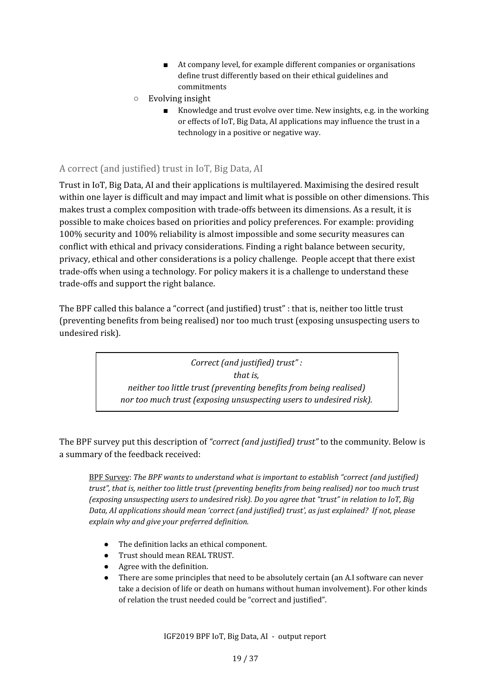- At company level, for example different companies or organisations define trust differently based on their ethical guidelines and commitments
- Evolving insight
	- Knowledge and trust evolve over time. New insights, e.g. in the working or effects of IoT, Big Data, AI applications may influence the trust in a technology in a positive or negative way.

#### <span id="page-18-0"></span>A correct (and justified) trust in IoT, Big Data, AI

Trust in IoT, Big Data, AI and their applications is multilayered. Maximising the desired result within one layer is difficult and may impact and limit what is possible on other dimensions. This makes trust a complex composition with trade-offs between its dimensions. As a result, it is possible to make choices based on priorities and policy preferences. For example: providing 100% security and 100% reliability is almost impossible and some security measures can conflict with ethical and privacy considerations. Finding a right balance between security, privacy, ethical and other considerations is a policy challenge. People accept that there exist trade-offs when using a technology. For policy makers it is a challenge to understand these trade-offs and support the right balance.

The BPF called this balance a "correct (and justified) trust" : that is, neither too little trust (preventing benefits from being realised) nor too much trust (exposing unsuspecting users to undesired risk).

> *Correct (and justified) trust" : that is, neither too little trust (preventing benefits from being realised) nor too much trust (exposing unsuspecting users to undesired risk).*

The BPF survey put this description of *"correct (and justified) trust"* to the community. Below is a summary of the feedback received:

BPF Survey: *The BPF wants to understand what is important to establish "correct (and justified) trust", that is, neither too little trust (preventing benefits from being realised) nor too much trust (exposing unsuspecting users to undesired risk). Do you agree that "trust" in relation to IoT, Big Data, AI applications should mean 'correct (and justified) trust', as just explained? If not, please explain why and give your preferred definition.*

- The definition lacks an ethical component.
- Trust should mean REAL TRUST.
- Agree with the definition.
- There are some principles that need to be absolutely certain (an A.I software can never take a decision of life or death on humans without human involvement). For other kinds of relation the trust needed could be "correct and justified".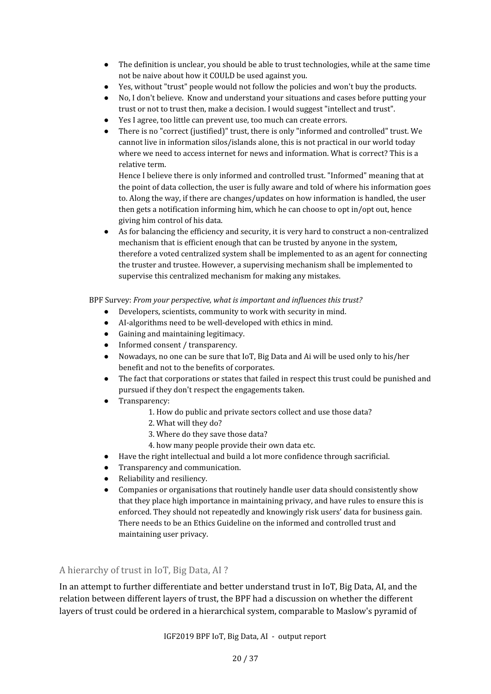- The definition is unclear, you should be able to trust technologies, while at the same time not be naive about how it COULD be used against you.
- Yes, without "trust" people would not follow the policies and won't buy the products.
- No, I don't believe. Know and understand your situations and cases before putting your trust or not to trust then, make a decision. I would suggest "intellect and trust".
- Yes I agree, too little can prevent use, too much can create errors.
- There is no "correct (justified)" trust, there is only "informed and controlled" trust. We cannot live in information silos/islands alone, this is not practical in our world today where we need to access internet for news and information. What is correct? This is a relative term.

Hence I believe there is only informed and controlled trust. "Informed" meaning that at the point of data collection, the user is fully aware and told of where his information goes to. Along the way, if there are changes/updates on how information is handled, the user then gets a notification informing him, which he can choose to opt in/opt out, hence giving him control of his data.

As for balancing the efficiency and security, it is very hard to construct a non-centralized mechanism that is efficient enough that can be trusted by anyone in the system, therefore a voted centralized system shall be implemented to as an agent for connecting the truster and trustee. However, a supervising mechanism shall be implemented to supervise this centralized mechanism for making any mistakes.

BPF Survey: *From your perspective, what is important and influences this trust?*

- Developers, scientists, community to work with security in mind.
- AI-algorithms need to be well-developed with ethics in mind.
- Gaining and maintaining legitimacy.
- Informed consent / transparency.
- Nowadays, no one can be sure that IoT, Big Data and Ai will be used only to his/her benefit and not to the benefits of corporates.
- The fact that corporations or states that failed in respect this trust could be punished and pursued if they don't respect the engagements taken.
- Transparency:
	- 1. How do public and private sectors collect and use those data?
	- 2. What will they do?
	- 3. Where do they save those data?
	- 4. how many people provide their own data etc.
- Have the right intellectual and build a lot more confidence through sacrificial.
- Transparency and communication.
- Reliability and resiliency.
- Companies or organisations that routinely handle user data should consistently show that they place high importance in maintaining privacy, and have rules to ensure this is enforced. They should not repeatedly and knowingly risk users' data for business gain. There needs to be an Ethics Guideline on the informed and controlled trust and maintaining user privacy.

<span id="page-19-0"></span>A hierarchy of trust in IoT, Big Data, AI ?

In an attempt to further differentiate and better understand trust in IoT, Big Data, AI, and the relation between different layers of trust, the BPF had a discussion on whether the different layers of trust could be ordered in a hierarchical system, comparable to Maslow's pyramid of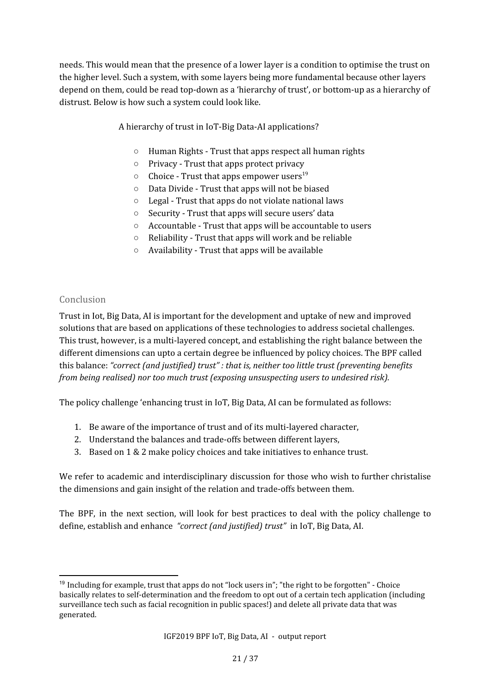needs. This would mean that the presence of a lower layer is a condition to optimise the trust on the higher level. Such a system, with some layers being more fundamental because other layers depend on them, could be read top-down as a 'hierarchy of trust', or bottom-up as a hierarchy of distrust. Below is how such a system could look like.

A hierarchy of trust in IoT-Big Data-AI applications?

- Human Rights Trust that apps respect all human rights
- Privacy Trust that apps protect privacy
- $\circ$  Choice Trust that apps empower users<sup>19</sup>
- Data Divide Trust that apps will not be biased
- Legal Trust that apps do not violate national laws
- Security Trust that apps will secure users' data
- Accountable Trust that apps will be accountable to users
- Reliability Trust that apps will work and be reliable
- Availability Trust that apps will be available

#### <span id="page-20-0"></span>Conclusion

Trust in Iot, Big Data, AI is important for the development and uptake of new and improved solutions that are based on applications of these technologies to address societal challenges. This trust, however, is a multi-layered concept, and establishing the right balance between the different dimensions can upto a certain degree be influenced by policy choices. The BPF called this balance: *"correct (and justified) trust" : that is, neither too little trust (preventing benefits from being realised) nor too much trust (exposing unsuspecting users to undesired risk).*

The policy challenge 'enhancing trust in IoT, Big Data, AI can be formulated as follows:

- 1. Be aware of the importance of trust and of its multi-layered character,
- 2. Understand the balances and trade-offs between different layers,
- 3. Based on 1 & 2 make policy choices and take initiatives to enhance trust.

We refer to academic and interdisciplinary discussion for those who wish to further christalise the dimensions and gain insight of the relation and trade-offs between them.

The BPF, in the next section, will look for best practices to deal with the policy challenge to define, establish and enhance *"correct (and justified) trust"* in IoT, Big Data, AI.

 $19$  Including for example, trust that apps do not "lock users in"; "the right to be forgotten" - Choice basically relates to self-determination and the freedom to opt out of a certain tech application (including surveillance tech such as facial recognition in public spaces!) and delete all private data that was generated.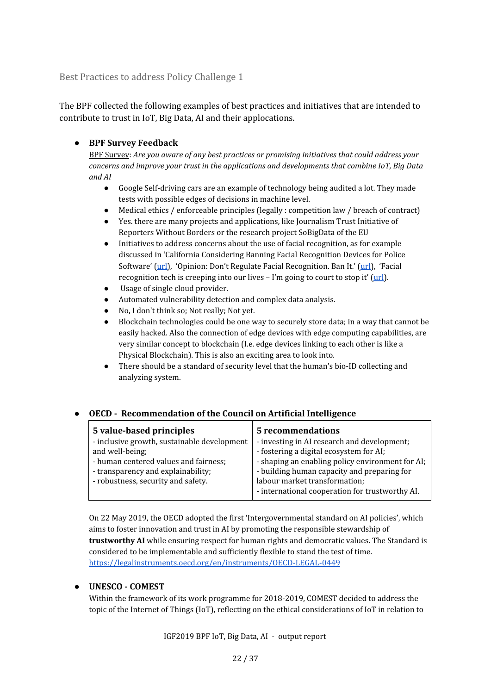<span id="page-21-0"></span>Best Practices to address Policy Challenge 1

The BPF collected the following examples of best practices and initiatives that are intended to contribute to trust in IoT, Big Data, AI and their applocations.

#### **● BPF Survey Feedback**

BPF Survey: *Are you aware of any best practices or promising initiatives that could address your concerns and improve your trust in the applications and developments that combine IoT, Big Data and AI*

- Google Self-driving cars are an example of technology being audited a lot. They made tests with possible edges of decisions in machine level.
- Medical ethics / enforceable principles (legally : competition law / breach of contract)
- Yes. there are many projects and applications, like Journalism Trust Initiative of Reporters Without Borders or the research project SoBigData of the EU
- Initiatives to address concerns about the use of facial recognition, as for example discussed in 'California Considering Banning Facial Recognition Devices for Police Software' ([url](https://interestingengineering.com/california-considering-banning-facial-recognition-devices-for-police-software)), 'Opinion: Don't Regulate Facial Recognition. Ban It.' ([url](https://www.buzzfeednews.com/article/evangreer/dont-regulate-facial-recognition-ban-it)), 'Facial recognition tech is creeping into our lives – I'm going to court to stop it' [\(url](https://www.theguardian.com/commentisfree/2019/may/21/facial-recognition-tech-court-south-wales-police-face-scanning-consent)).
- Usage of single cloud provider.
- Automated vulnerability detection and complex data analysis.
- No, I don't think so; Not really; Not yet.
- Blockchain technologies could be one way to securely store data; in a way that cannot be easily hacked. Also the connection of edge devices with edge computing capabilities, are very similar concept to blockchain (I.e. edge devices linking to each other is like a Physical Blockchain). This is also an exciting area to look into.
- There should be a standard of security level that the human's bio-ID collecting and analyzing system.

#### **● OECD - Recommendation of the Council on Artificial Intelligence**

| 5 value-based principles                    | <b>5</b> recommendations                         |
|---------------------------------------------|--------------------------------------------------|
| - inclusive growth, sustainable development | - investing in AI research and development;      |
| and well-being;                             | - fostering a digital ecosystem for AI;          |
| - human centered values and fairness;       | - shaping an enabling policy environment for AI; |
| - transparency and explainability;          | - building human capacity and preparing for      |
| - robustness, security and safety.          | labour market transformation;                    |
|                                             | - international cooperation for trustworthy AI.  |

On 22 May 2019, the OECD adopted the first 'Intergovernmental standard on AI policies', which aims to foster innovation and trust in AI by promoting the responsible stewardship of **trustworthy AI** while ensuring respect for human rights and democratic values. The Standard is considered to be implementable and sufficiently flexible to stand the test of time. <https://legalinstruments.oecd.org/en/instruments/OECD-LEGAL-0449>

#### ● **UNESCO - COMEST**

Within the framework of its work programme for 2018-2019, COMEST decided to address the topic of the Internet of Things (IoT), reflecting on the ethical considerations of IoT in relation to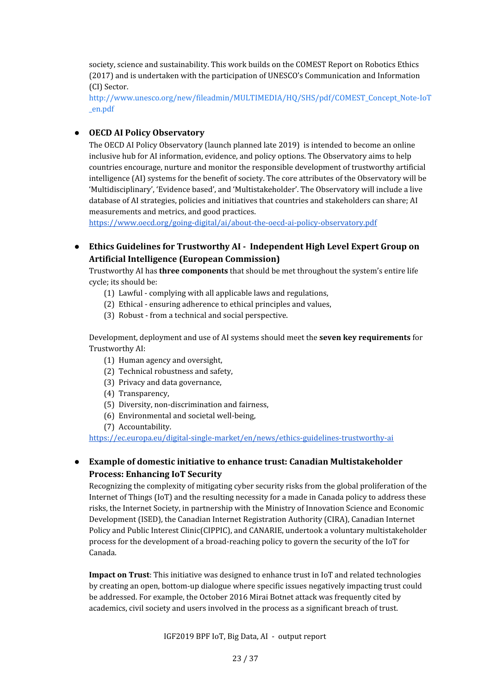society, science and sustainability. This work builds on the COMEST Report on Robotics Ethics (2017) and is undertaken with the participation of UNESCO's Communication and Information (CI) Sector.

[http://www.unesco.org/new/fileadmin/MULTIMEDIA/HQ/SHS/pdf/COMEST\\_Concept\\_Note-IoT](http://www.unesco.org/new/fileadmin/MULTIMEDIA/HQ/SHS/pdf/COMEST_Concept_Note-IoT_en.pdf) [\\_en.pdf](http://www.unesco.org/new/fileadmin/MULTIMEDIA/HQ/SHS/pdf/COMEST_Concept_Note-IoT_en.pdf)

#### ● **OECD AI Policy Observatory**

The OECD AI Policy Observatory (launch planned late 2019) is intended to become an online inclusive hub for AI information, evidence, and policy options. The Observatory aims to help countries encourage, nurture and monitor the responsible development of trustworthy artificial intelligence (AI) systems for the benefit of society. The core attributes of the Observatory will be 'Multidisciplinary', 'Evidence based', and 'Multistakeholder'. The Observatory will include a live database of AI strategies, policies and initiatives that countries and stakeholders can share; AI measurements and metrics, and good practices.

<https://www.oecd.org/going-digital/ai/about-the-oecd-ai-policy-observatory.pdf>

**● Ethics Guidelines for Trustworthy AI - Independent High Level Expert Group on Artificial Intelligence (European Commission)**

Trustworthy AI has **three components** that should be met throughout the system's entire life cycle; its should be:

- (1) Lawful complying with all applicable laws and regulations,
- (2) Ethical ensuring adherence to ethical principles and values,
- (3) Robust from a technical and social perspective.

Development, deployment and use of AI systems should meet the **seven key requirements** for Trustworthy AI:

- (1) Human agency and oversight,
- (2) Technical robustness and safety,
- (3) Privacy and data governance,
- (4) Transparency,
- (5) Diversity, non-discrimination and fairness,
- (6) Environmental and societal well-being,
- (7) Accountability.

<https://ec.europa.eu/digital-single-market/en/news/ethics-guidelines-trustworthy-ai>

#### **● Example of domestic initiative to enhance trust: Canadian Multistakeholder Process: Enhancing IoT Security**

Recognizing the complexity of mitigating cyber security risks from the global proliferation of the Internet of Things (IoT) and the resulting necessity for a made in Canada policy to address these risks, the Internet Society, in partnership with the Ministry of Innovation Science and Economic Development (ISED), the Canadian Internet Registration Authority (CIRA), Canadian Internet Policy and Public Interest Clinic(CIPPIC), and CANARIE, undertook a voluntary multistakeholder process for the development of a broad-reaching policy to govern the security of the IoT for Canada.

**Impact on Trust**: This initiative was designed to enhance trust in IoT and related technologies by creating an open, bottom-up dialogue where specific issues negatively impacting trust could be addressed. For example, the October 2016 Mirai Botnet attack was frequently cited by academics, civil society and users involved in the process as a significant breach of trust.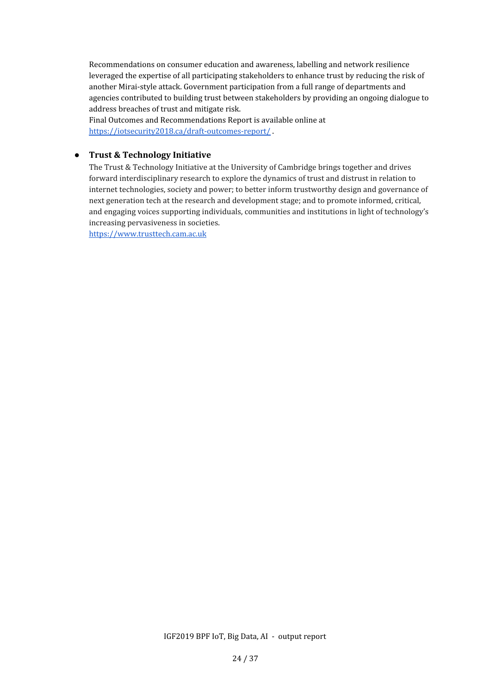Recommendations on consumer education and awareness, labelling and network resilience leveraged the expertise of all participating stakeholders to enhance trust by reducing the risk of another Mirai-style attack. Government participation from a full range of departments and agencies contributed to building trust between stakeholders by providing an ongoing dialogue to address breaches of trust and mitigate risk.

Final Outcomes and Recommendations Report is available online at <https://iotsecurity2018.ca/draft-outcomes-report/> .

#### **● Trust & Technology Initiative**

The Trust & Technology Initiative at the University of Cambridge brings together and drives forward interdisciplinary research to explore the dynamics of trust and distrust in relation to internet technologies, society and power; to better inform trustworthy design and governance of next generation tech at the research and development stage; and to promote informed, critical, and engaging voices supporting individuals, communities and institutions in light of technology's increasing pervasiveness in societies.

[https://www.trusttech.cam.ac.uk](https://www.trusttech.cam.ac.uk/)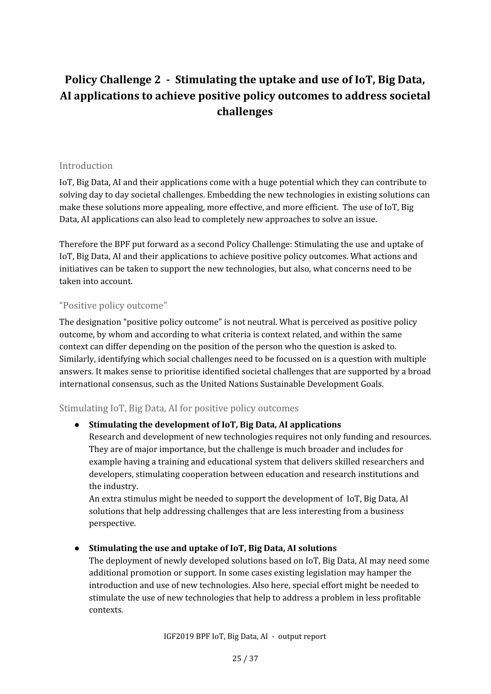## <span id="page-24-0"></span>**Policy Challenge 2 - Stimulating the uptake and use of IoT, Big Data, AI applications to achieve positive policy outcomes to address societal challenges**

#### <span id="page-24-1"></span>Introduction

IoT, Big Data, AI and their applications come with a huge potential which they can contribute to solving day to day societal challenges. Embedding the new technologies in existing solutions can make these solutions more appealing, more effective, and more efficient. The use of IoT, Big Data, AI applications can also lead to completely new approaches to solve an issue.

Therefore the BPF put forward as a second Policy Challenge: Stimulating the use and uptake of IoT, Big Data, AI and their applications to achieve positive policy outcomes. What actions and initiatives can be taken to support the new technologies, but also, what concerns need to be taken into account.

#### <span id="page-24-2"></span>"Positive policy outcome"

The designation "positive policy outcome" is not neutral. What is perceived as positive policy outcome, by whom and according to what criteria is context related, and within the same context can differ depending on the position of the person who the question is asked to. Similarly, identifying which social challenges need to be focussed on is a question with multiple answers. It makes sense to prioritise identified societal challenges that are supported by a broad international consensus, such as the United Nations Sustainable Development Goals.

#### <span id="page-24-3"></span>Stimulating IoT, Big Data, AI for positive policy outcomes

#### **● Stimulating the development of IoT, Big Data, AI applications**

Research and development of new technologies requires not only funding and resources. They are of major importance, but the challenge is much broader and includes for example having a training and educational system that delivers skilled researchers and developers, stimulating cooperation between education and research institutions and the industry.

An extra stimulus might be needed to support the development of IoT, Big Data, AI solutions that help addressing challenges that are less interesting from a business perspective.

#### **● Stimulating the use and uptake of IoT, Big Data, AI solutions**

The deployment of newly developed solutions based on IoT, Big Data, AI may need some additional promotion or support. In some cases existing legislation may hamper the introduction and use of new technologies. Also here, special effort might be needed to stimulate the use of new technologies that help to address a problem in less profitable contexts.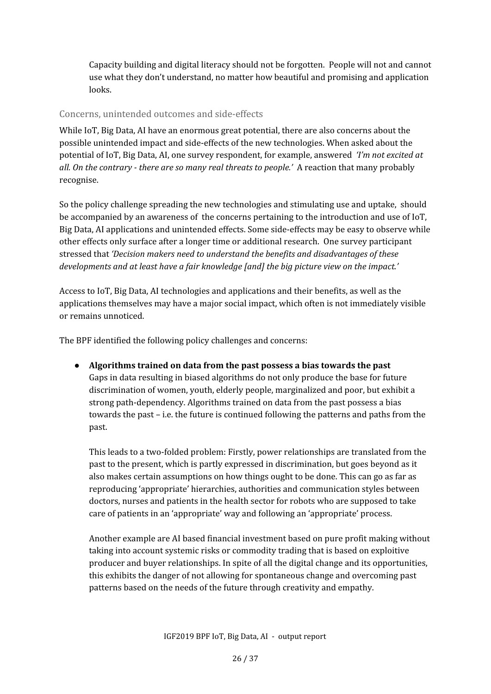Capacity building and digital literacy should not be forgotten. People will not and cannot use what they don't understand, no matter how beautiful and promising and application looks.

#### <span id="page-25-0"></span>Concerns, unintended outcomes and side-effects

While IoT, Big Data, AI have an enormous great potential, there are also concerns about the possible unintended impact and side-effects of the new technologies. When asked about the potential of IoT, Big Data, AI, one survey respondent, for example, answered *'I'm not excited at all. On the contrary - there are so many real threats to people.'* A reaction that many probably recognise.

So the policy challenge spreading the new technologies and stimulating use and uptake, should be accompanied by an awareness of the concerns pertaining to the introduction and use of IoT, Big Data, AI applications and unintended effects. Some side-effects may be easy to observe while other effects only surface after a longer time or additional research. One survey participant stressed that *'Decision makers need to understand the benefits and disadvantages of these developments and at least have a fair knowledge [and] the big picture view on the impact.'*

Access to IoT, Big Data, AI technologies and applications and their benefits, as well as the applications themselves may have a major social impact, which often is not immediately visible or remains unnoticed.

The BPF identified the following policy challenges and concerns:

**● Algorithms trained on data from the past possess a bias towards the past** Gaps in data resulting in biased algorithms do not only produce the base for future discrimination of women, youth, elderly people, marginalized and poor, but exhibit a strong path-dependency. Algorithms trained on data from the past possess a bias towards the past – i.e. the future is continued following the patterns and paths from the past.

This leads to a two-folded problem: Firstly, power relationships are translated from the past to the present, which is partly expressed in discrimination, but goes beyond as it also makes certain assumptions on how things ought to be done. This can go as far as reproducing 'appropriate' hierarchies, authorities and communication styles between doctors, nurses and patients in the health sector for robots who are supposed to take care of patients in an 'appropriate' way and following an 'appropriate' process.

Another example are AI based financial investment based on pure profit making without taking into account systemic risks or commodity trading that is based on exploitive producer and buyer relationships. In spite of all the digital change and its opportunities, this exhibits the danger of not allowing for spontaneous change and overcoming past patterns based on the needs of the future through creativity and empathy.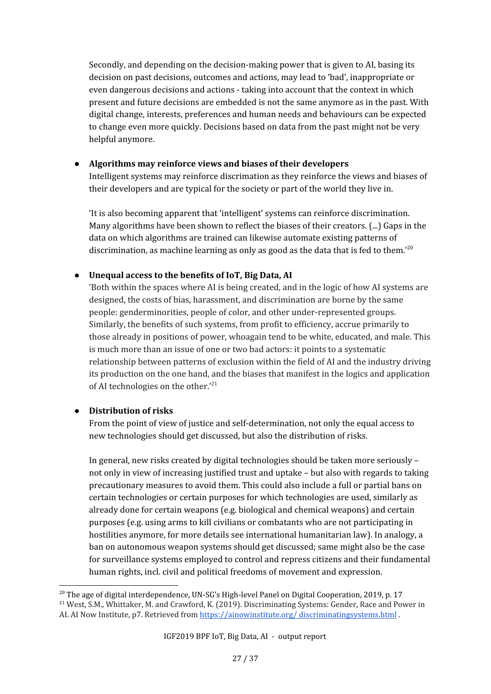Secondly, and depending on the decision-making power that is given to AI, basing its decision on past decisions, outcomes and actions, may lead to 'bad', inappropriate or even dangerous decisions and actions - taking into account that the context in which present and future decisions are embedded is not the same anymore as in the past. With digital change, interests, preferences and human needs and behaviours can be expected to change even more quickly. Decisions based on data from the past might not be very helpful anymore.

#### ● **Algorithms may reinforce views and biases of their developers**

Intelligent systems may reinforce discrimation as they reinforce the views and biases of their developers and are typical for the society or part of the world they live in.

'It is also becoming apparent that 'intelligent' systems can reinforce discrimination. Many algorithms have been shown to reflect the biases of their creators. (...) Gaps in the data on which algorithms are trained can likewise automate existing patterns of discrimination, as machine learning as only as good as the data that is fed to them.'<sup>20</sup>

#### **● Unequal access to the benefits of IoT, Big Data, AI**

'Both within the spaces where AI is being created, and in the logic of how AI systems are designed, the costs of bias, harassment, and discrimination are borne by the same people: genderminorities, people of color, and other under-represented groups. Similarly, the benefits of such systems, from profit to efficiency, accrue primarily to those already in positions of power, whoagain tend to be white, educated, and male. This is much more than an issue of one or two bad actors: it points to a systematic relationship between patterns of exclusion within the field of AI and the industry driving its production on the one hand, and the biases that manifest in the logics and application of AI technologies on the other.'<sup>21</sup>

#### **● Distribution of risks**

From the point of view of justice and self-determination, not only the equal access to new technologies should get discussed, but also the distribution of risks.

In general, new risks created by digital technologies should be taken more seriously – not only in view of increasing justified trust and uptake – but also with regards to taking precautionary measures to avoid them. This could also include a full or partial bans on certain technologies or certain purposes for which technologies are used, similarly as already done for certain weapons (e.g. biological and chemical weapons) and certain purposes (e.g. using arms to kill civilians or combatants who are not participating in hostilities anymore, for more details see international humanitarian law). In analogy, a ban on autonomous weapon systems should get discussed; same might also be the case for surveillance systems employed to control and repress citizens and their fundamental human rights, incl. civil and political freedoms of movement and expression.

 $^{20}$  The age of digital interdependence, UN-SG's High-level Panel on Digital Cooperation, 2019, p. 17

<sup>&</sup>lt;sup>21</sup> West, S.M., Whittaker, M. and Crawford, K. (2019). Discriminating Systems: Gender, Race and Power in AI. AI Now Institute, p7. Retrieved from https://ainowinstitute.org/ [discriminatingsystems.html](https://ainowinstitute.org/) .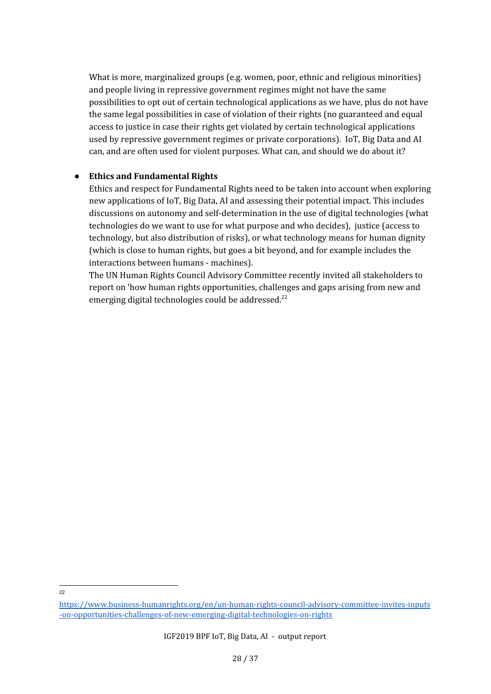What is more, marginalized groups (e.g. women, poor, ethnic and religious minorities) and people living in repressive government regimes might not have the same possibilities to opt out of certain technological applications as we have, plus do not have the same legal possibilities in case of violation of their rights (no guaranteed and equal access to justice in case their rights get violated by certain technological applications used by repressive government regimes or private corporations). IoT, Big Data and AI can, and are often used for violent purposes. What can, and should we do about it?

#### **● Ethics and Fundamental Rights**

Ethics and respect for Fundamental Rights need to be taken into account when exploring new applications of IoT, Big Data, AI and assessing their potential impact. This includes discussions on autonomy and self-determination in the use of digital technologies (what technologies do we want to use for what purpose and who decides), justice (access to technology, but also distribution of risks), or what technology means for human dignity (which is close to human rights, but goes a bit beyond, and for example includes the interactions between humans - machines).

The UN Human Rights Council Advisory Committee recently invited all stakeholders to report on 'how human rights opportunities, challenges and gaps arising from new and emerging digital technologies could be addressed.<sup>22</sup>

 $22$ 

[https://www.business-humanrights.org/en/un-human-rights-council-advisory-committee-invites-inputs](https://www.business-humanrights.org/en/un-human-rights-council-advisory-committee-invites-inputs-on-opportunities-challenges-of-new-emerging-digital-technologies-on-rights) [-on-opportunities-challenges-of-new-emerging-digital-technologies-on-rights](https://www.business-humanrights.org/en/un-human-rights-council-advisory-committee-invites-inputs-on-opportunities-challenges-of-new-emerging-digital-technologies-on-rights)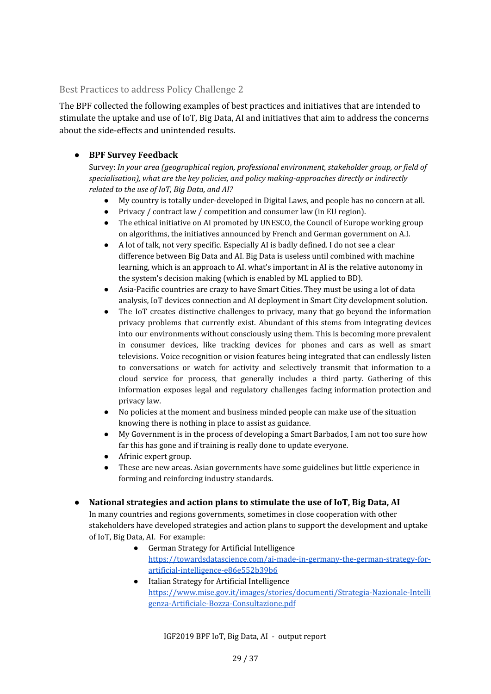#### <span id="page-28-0"></span>Best Practices to address Policy Challenge 2

The BPF collected the following examples of best practices and initiatives that are intended to stimulate the uptake and use of IoT, Big Data, AI and initiatives that aim to address the concerns about the side-effects and unintended results.

#### **● BPF Survey Feedback**

Survey: *In your area (geographical region, professional environment, stakeholder group, or field of specialisation), what are the key policies, and policy making-approaches directly or indirectly related to the use of IoT, Big Data, and AI?*

- My country is totally under-developed in Digital Laws, and people has no concern at all.
- Privacy / contract law / competition and consumer law (in EU region).
- The ethical initiative on AI promoted by UNESCO, the Council of Europe working group on algorithms, the initiatives announced by French and German government on A.I.
- A lot of talk, not very specific. Especially AI is badly defined. I do not see a clear difference between Big Data and AI. Big Data is useless until combined with machine learning, which is an approach to AI. what's important in AI is the relative autonomy in the system's decision making (which is enabled by ML applied to BD).
- Asia-Pacific countries are crazy to have Smart Cities. They must be using a lot of data analysis, IoT devices connection and AI deployment in Smart City development solution.
- The IoT creates distinctive challenges to privacy, many that go beyond the information privacy problems that currently exist. Abundant of this stems from integrating devices into our environments without consciously using them. This is becoming more prevalent in consumer devices, like tracking devices for phones and cars as well as smart televisions. Voice recognition or vision features being integrated that can endlessly listen to conversations or watch for activity and selectively transmit that information to a cloud service for process, that generally includes a third party. Gathering of this information exposes legal and regulatory challenges facing information protection and privacy law.
- No policies at the moment and business minded people can make use of the situation knowing there is nothing in place to assist as guidance.
- My Government is in the process of developing a Smart Barbados, I am not too sure how far this has gone and if training is really done to update everyone.
- Afrinic expert group.
- These are new areas. Asian governments have some guidelines but little experience in forming and reinforcing industry standards.

#### ● **National strategies and action plans to stimulate the use of IoT, Big Data, AI**

In many countries and regions governments, sometimes in close cooperation with other stakeholders have developed strategies and action plans to support the development and uptake of IoT, Big Data, AI. For example:

- German Strategy for Artificial Intelligence [https://towardsdatascience.com/ai-made-in-germany-the-german-strategy-for](https://towardsdatascience.com/ai-made-in-germany-the-german-strategy-for-artificial-intelligence-e86e552b39b6)[artificial-intelligence-e86e552b39b6](https://towardsdatascience.com/ai-made-in-germany-the-german-strategy-for-artificial-intelligence-e86e552b39b6)
- Italian Strategy for Artificial Intelligence [https://www.mise.gov.it/images/stories/documenti/Strategia-Nazionale-Intelli](https://www.mise.gov.it/images/stories/documenti/Strategia-Nazionale-Intelligenza-Artificiale-Bozza-Consultazione.pdf) [genza-Artificiale-Bozza-Consultazione.pdf](https://www.mise.gov.it/images/stories/documenti/Strategia-Nazionale-Intelligenza-Artificiale-Bozza-Consultazione.pdf)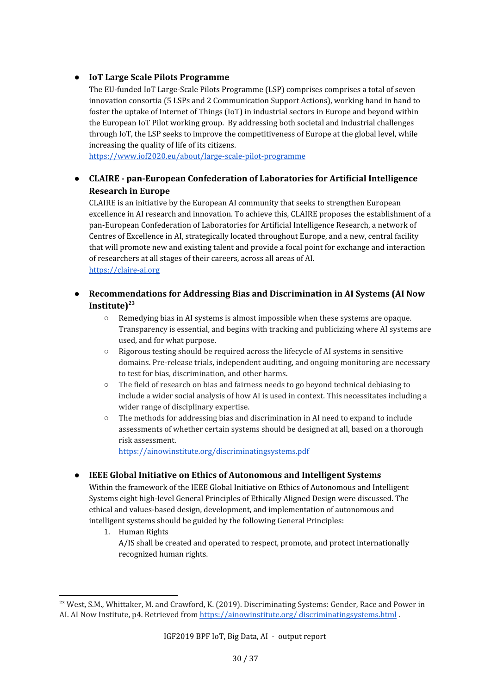#### **● IoT Large Scale Pilots Programme**

The EU-funded IoT Large-Scale Pilots Programme (LSP) comprises comprises a total of seven innovation consortia (5 LSPs and 2 Communication Support Actions), working hand in hand to foster the uptake of Internet of Things (IoT) in industrial sectors in Europe and beyond within the European IoT Pilot working group. By addressing both societal and industrial challenges through IoT, the LSP seeks to improve the competitiveness of Europe at the global level, while increasing the quality of life of its citizens.

<https://www.iof2020.eu/about/large-scale-pilot-programme>

#### **● CLAIRE - pan-European Confederation of Laboratories for Artificial Intelligence Research in Europe**

CLAIRE is an initiative by the European AI community that seeks to strengthen European excellence in AI research and innovation. To achieve this, CLAIRE proposes the establishment of a pan-European Confederation of Laboratories for Artificial Intelligence Research, a network of Centres of Excellence in AI, strategically located throughout Europe, and a new, central facility that will promote new and existing talent and provide a focal point for exchange and interaction of researchers at all stages of their careers, across all areas of AI. [https://claire-ai.org](https://claire-ai.org/)

#### **● Recommendations for Addressing Bias and Discrimination in AI Systems (AI Now Institute) 23**

- Remedying bias in AI systems is almost impossible when these systems are opaque. Transparency is essential, and begins with tracking and publicizing where AI systems are used, and for what purpose.
- Rigorous testing should be required across the lifecycle of AI systems in sensitive domains. Pre-release trials, independent auditing, and ongoing monitoring are necessary to test for bias, discrimination, and other harms.
- The field of research on bias and fairness needs to go beyond technical debiasing to include a wider social analysis of how AI is used in context. This necessitates including a wider range of disciplinary expertise.
- The methods for addressing bias and discrimination in AI need to expand to include assessments of whether certain systems should be designed at all, based on a thorough risk assessment.

<https://ainowinstitute.org/discriminatingsystems.pdf>

#### **● IEEE Global Initiative on Ethics of Autonomous and Intelligent Systems**

Within the framework of the IEEE Global Initiative on Ethics of Autonomous and Intelligent Systems eight high-level General Principles of Ethically Aligned Design were discussed. The ethical and values-based design, development, and implementation of autonomous and intelligent systems should be guided by the following General Principles:

- 1. Human Rights
	- A/IS shall be created and operated to respect, promote, and protect internationally recognized human rights.

<sup>&</sup>lt;sup>23</sup> West, S.M., Whittaker, M. and Crawford, K. (2019). Discriminating Systems: Gender, Race and Power in AI. AI Now Institute, p4. Retrieved from https://ainowinstitute.org/ [discriminatingsystems.html](https://ainowinstitute.org/) .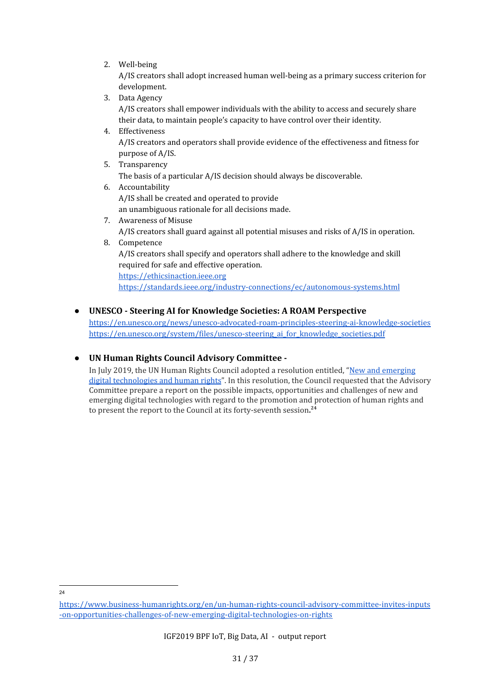2. Well-being

A/IS creators shall adopt increased human well-being as a primary success criterion for development.

- 3. Data Agency A/IS creators shall empower individuals with the ability to access and securely share their data, to maintain people's capacity to have control over their identity.
- 4. Effectiveness A/IS creators and operators shall provide evidence of the effectiveness and fitness for purpose of A/IS.
- 5. Transparency The basis of a particular A/IS decision should always be discoverable.
- 6. Accountability A/IS shall be created and operated to provide an unambiguous rationale for all decisions made.
- 7. Awareness of Misuse A/IS creators shall guard against all potential misuses and risks of A/IS in operation.
- 8. Competence A/IS creators shall specify and operators shall adhere to the knowledge and skill required for safe and effective operation. [https://ethicsinaction.ieee.org](https://ethicsinaction.ieee.org/) <https://standards.ieee.org/industry-connections/ec/autonomous-systems.html>
- **UNESCO - Steering AI for Knowledge Societies: A ROAM Perspective**

<https://en.unesco.org/news/unesco-advocated-roam-principles-steering-ai-knowledge-societies> https://en.unesco.org/system/files/unesco-steering ai for knowledge societies.pdf

**● UN Human Rights Council Advisory Committee -**

In July 2019, the UN Human Rights Council adopted a resolution entitled, "New and [emerging](https://ap.ohchr.org/documents/dpage_e.aspx?si=A/HRC/41/L.14) digital [technologies](https://ap.ohchr.org/documents/dpage_e.aspx?si=A/HRC/41/L.14) and human rights". In this resolution, the Council requested that the Advisory Committee prepare a report on the possible impacts, opportunities and challenges of new and emerging digital technologies with regard to the promotion and protection of human rights and to present the report to the Council at its forty-seventh session**. 24**

24

[https://www.business-humanrights.org/en/un-human-rights-council-advisory-committee-invites-inputs](https://www.business-humanrights.org/en/un-human-rights-council-advisory-committee-invites-inputs-on-opportunities-challenges-of-new-emerging-digital-technologies-on-rights) [-on-opportunities-challenges-of-new-emerging-digital-technologies-on-rights](https://www.business-humanrights.org/en/un-human-rights-council-advisory-committee-invites-inputs-on-opportunities-challenges-of-new-emerging-digital-technologies-on-rights)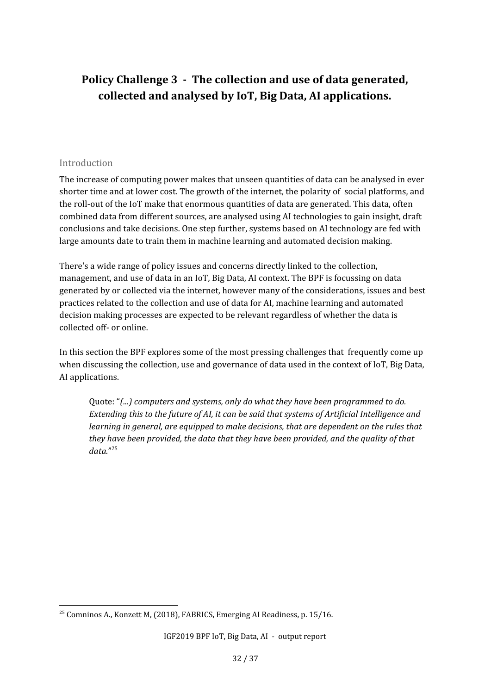### <span id="page-31-0"></span>**Policy Challenge 3 - The collection and use of data generated, collected and analysed by IoT, Big Data, AI applications.**

#### <span id="page-31-1"></span>Introduction

The increase of computing power makes that unseen quantities of data can be analysed in ever shorter time and at lower cost. The growth of the internet, the polarity of social platforms, and the roll-out of the IoT make that enormous quantities of data are generated. This data, often combined data from different sources, are analysed using AI technologies to gain insight, draft conclusions and take decisions. One step further, systems based on AI technology are fed with large amounts date to train them in machine learning and automated decision making.

There's a wide range of policy issues and concerns directly linked to the collection, management, and use of data in an IoT, Big Data, AI context. The BPF is focussing on data generated by or collected via the internet, however many of the considerations, issues and best practices related to the collection and use of data for AI, machine learning and automated decision making processes are expected to be relevant regardless of whether the data is collected off- or online.

In this section the BPF explores some of the most pressing challenges that frequently come up when discussing the collection, use and governance of data used in the context of IoT, Big Data, AI applications.

Quote: "*(...) computers and systems, only do what they have been programmed to do. Extending this to the future of AI, it can be said that systems of Artificial Intelligence and learning in general, are equipped to make decisions, that are dependent on the rules that they have been provided, the data that they have been provided, and the quality of that data.*" 25

<sup>&</sup>lt;sup>25</sup> Comninos A., Konzett M, (2018), FABRICS, Emerging AI Readiness, p. 15/16.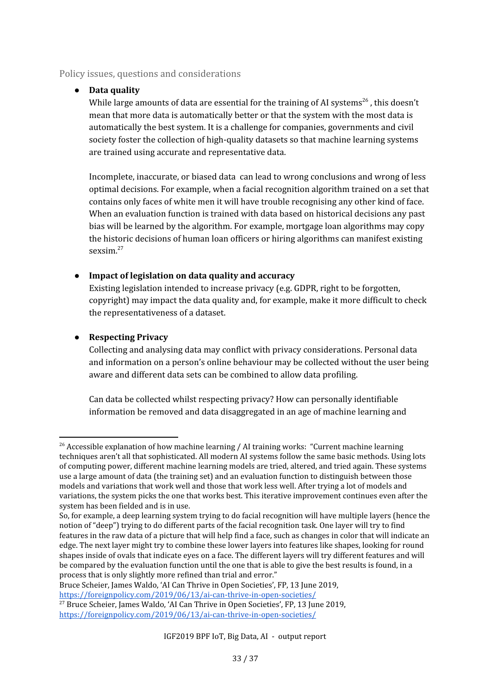#### <span id="page-32-0"></span>Policy issues, questions and considerations

#### **● Data quality**

While large amounts of data are essential for the training of AI systems<sup>26</sup>, this doesn't mean that more data is automatically better or that the system with the most data is automatically the best system. It is a challenge for companies, governments and civil society foster the collection of high-quality datasets so that machine learning systems are trained using accurate and representative data.

Incomplete, inaccurate, or biased data can lead to wrong conclusions and wrong of less optimal decisions. For example, when a facial recognition algorithm trained on a set that contains only faces of white men it will have trouble recognising any other kind of face. When an evaluation function is trained with data based on historical decisions any past bias will be learned by the algorithm. For example, mortgage loan algorithms may copy the historic decisions of human loan officers or hiring algorithms can manifest existing sexsim. 27

#### **● Impact of legislation on data quality and accuracy**

Existing legislation intended to increase privacy (e.g. GDPR, right to be forgotten, copyright) may impact the data quality and, for example, make it more difficult to check the representativeness of a dataset.

#### **● Respecting Privacy**

Collecting and analysing data may conflict with privacy considerations. Personal data and information on a person's online behaviour may be collected without the user being aware and different data sets can be combined to allow data profiling.

Can data be collected whilst respecting privacy? How can personally identifiable information be removed and data disaggregated in an age of machine learning and

Bruce Scheier, James Waldo, 'AI Can Thrive in Open Societies', FP, 13 June 2019, <https://foreignpolicy.com/2019/06/13/ai-can-thrive-in-open-societies/>

<sup>&</sup>lt;sup>26</sup> Accessible explanation of how machine learning / AI training works: "Current machine learning techniques aren't all that sophisticated. All modern AI systems follow the same basic methods. Using lots of computing power, different machine learning models are tried, altered, and tried again. These systems use a large amount of data (the training set) and an evaluation function to distinguish between those models and variations that work well and those that work less well. After trying a lot of models and variations, the system picks the one that works best. This iterative improvement continues even after the system has been fielded and is in use.

So, for example, a deep learning system trying to do facial recognition will have multiple layers (hence the notion of "deep") trying to do different parts of the facial recognition task. One layer will try to find features in the raw data of a picture that will help find a face, such as changes in color that will indicate an edge. The next layer might try to combine these lower layers into features like shapes, looking for round shapes inside of ovals that indicate eyes on a face. The different layers will try different features and will be compared by the evaluation function until the one that is able to give the best results is found, in a process that is only slightly more refined than trial and error."

<sup>&</sup>lt;sup>27</sup> Bruce Scheier, James Waldo, 'AI Can Thrive in Open Societies', FP, 13 June 2019, <https://foreignpolicy.com/2019/06/13/ai-can-thrive-in-open-societies/>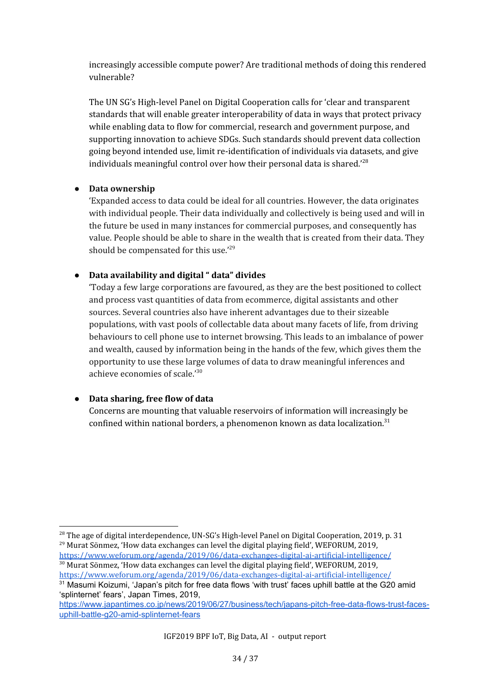increasingly accessible compute power? Are traditional methods of doing this rendered vulnerable?

The UN SG's High-level Panel on Digital Cooperation calls for 'clear and transparent standards that will enable greater interoperability of data in ways that protect privacy while enabling data to flow for commercial, research and government purpose, and supporting innovation to achieve SDGs. Such standards should prevent data collection going beyond intended use, limit re-identification of individuals via datasets, and give individuals meaningful control over how their personal data is shared.' 28

#### **● Data ownership**

'Expanded access to data could be ideal for all countries. However, the data originates with individual people. Their data individually and collectively is being used and will in the future be used in many instances for commercial purposes, and consequently has value. People should be able to share in the wealth that is created from their data. They should be compensated for this use.'<sup>29</sup>

#### **● Data availability and digital " data" divides**

'Today a few large corporations are favoured, as they are the best positioned to collect and process vast quantities of data from ecommerce, digital assistants and other sources. Several countries also have inherent advantages due to their sizeable populations, with vast pools of collectable data about many facets of life, from driving behaviours to cell phone use to internet browsing. This leads to an imbalance of power and wealth, caused by information being in the hands of the few, which gives them the opportunity to use these large volumes of data to draw meaningful inferences and achieve economies of scale.' 30

#### **● Data sharing, free flow of data**

Concerns are mounting that valuable reservoirs of information will increasingly be confined within national borders, a phenomenon known as data localization.<sup>31</sup>

<https://www.weforum.org/agenda/2019/06/data-exchanges-digital-ai-artificial-intelligence/> <sup>30</sup> Murat Sönmez, 'How data exchanges can level the digital playing field', WEFORUM, 2019,

 $^{28}$  The age of digital interdependence, UN-SG's High-level Panel on Digital Cooperation, 2019, p. 31 <sup>29</sup> Murat Sönmez, 'How data exchanges can level the digital playing field', WEFORUM, 2019,

<https://www.weforum.org/agenda/2019/06/data-exchanges-digital-ai-artificial-intelligence/> <sup>31</sup> Masumi Koizumi, 'Japan's pitch for free data flows 'with trust' faces uphill battle at the G20 amid 'splinternet' fears', Japan Times, 2019,

[https://www.japantimes.co.jp/news/2019/06/27/business/tech/japans-pitch-free-data-flows-trust-faces](https://www.japantimes.co.jp/news/2019/06/27/business/tech/japans-pitch-free-data-flows-trust-faces-uphill-battle-g20-amid-splinternet-fears)[uphill-battle-g20-amid-splinternet-fears](https://www.japantimes.co.jp/news/2019/06/27/business/tech/japans-pitch-free-data-flows-trust-faces-uphill-battle-g20-amid-splinternet-fears)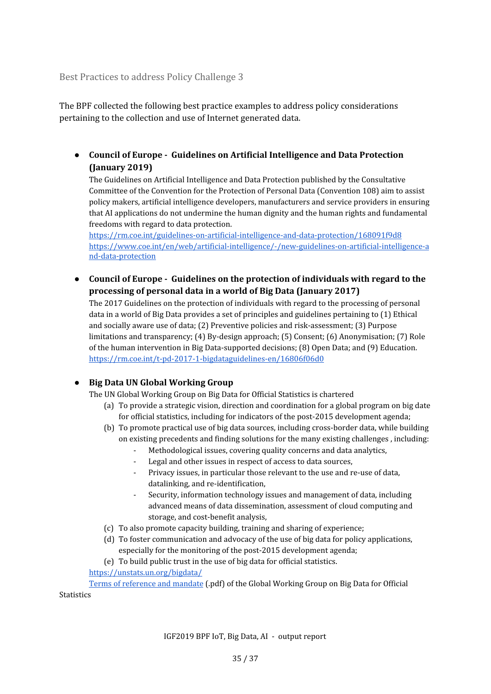<span id="page-34-0"></span>Best Practices to address Policy Challenge 3

The BPF collected the following best practice examples to address policy considerations pertaining to the collection and use of Internet generated data.

**● Council of Europe - Guidelines on Artificial Intelligence and Data Protection (January 2019)**

The Guidelines on Artificial Intelligence and Data Protection published by the Consultative Committee of the Convention for the Protection of Personal Data (Convention 108) aim to assist policy makers, artificial intelligence developers, manufacturers and service providers in ensuring that AI applications do not undermine the human dignity and the human rights and fundamental freedoms with regard to data protection.

<https://rm.coe.int/guidelines-on-artificial-intelligence-and-data-protection/168091f9d8> [https://www.coe.int/en/web/artificial-intelligence/-/new-guidelines-on-artificial-intelligence-a](https://www.coe.int/en/web/artificial-intelligence/-/new-guidelines-on-artificial-intelligence-and-data-protection) [nd-data-protection](https://www.coe.int/en/web/artificial-intelligence/-/new-guidelines-on-artificial-intelligence-and-data-protection)

**● Council of Europe - Guidelines on the protection of individuals with regard to the processing of personal data in a world of Big Data (January 2017)**

The 2017 Guidelines on the protection of individuals with regard to the processing of personal data in a world of Big Data provides a set of principles and guidelines pertaining to (1) Ethical and socially aware use of data; (2) Preventive policies and risk-assessment; (3) Purpose limitations and transparency; (4) By-design approach; (5) Consent; (6) Anonymisation; (7) Role of the human intervention in Big Data-supported decisions; (8) Open Data; and (9) Education. <https://rm.coe.int/t-pd-2017-1-bigdataguidelines-en/16806f06d0>

#### ● **Big Data UN Global Working Group**

The UN Global Working Group on Big Data for Official Statistics is chartered

- (a) To provide a strategic vision, direction and coordination for a global program on big date for official statistics, including for indicators of the post-2015 development agenda;
- (b) To promote practical use of big data sources, including cross-border data, while building on existing precedents and finding solutions for the many existing challenges , including:
	- Methodological issues, covering quality concerns and data analytics,
	- Legal and other issues in respect of access to data sources,
	- Privacy issues, in particular those relevant to the use and re-use of data, datalinking, and re-identification,
	- Security, information technology issues and management of data, including advanced means of data dissemination, assessment of cloud computing and storage, and cost-benefit analysis,
- (c) To also promote capacity building, training and sharing of experience;
- (d) To foster communication and advocacy of the use of big data for policy applications, especially for the monitoring of the post-2015 development agenda;

(e) To build public trust in the use of big data for official statistics.

<https://unstats.un.org/bigdata/>

Terms of [reference](https://unstats.un.org/bigdata/documents/Terms%20of%20Reference%20-%20UN%20Global%20Working%20Group%20on%20BigData.pdf) and mandate (.pdf) of the Global Working Group on Big Data for Official **Statistics**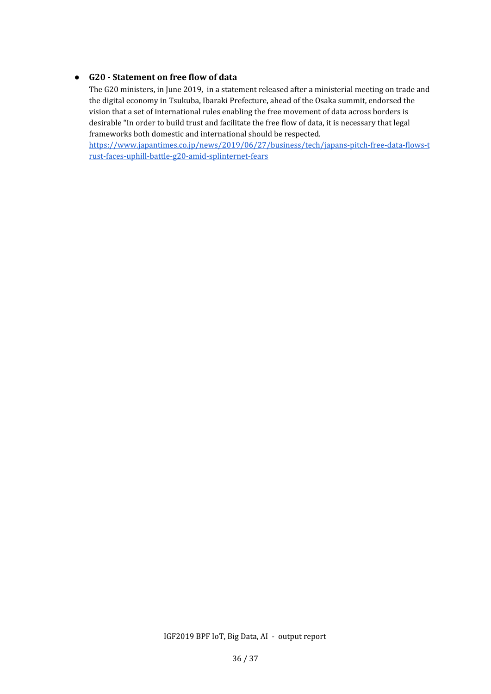#### **● G20 - Statement on free flow of data**

The G20 ministers, in June 2019, in a statement released after a ministerial meeting on trade and the digital economy in Tsukuba, Ibaraki Prefecture, ahead of the Osaka summit, endorsed the vision that a set of international rules enabling the free movement of data across borders is desirable "In order to build trust and facilitate the free flow of data, it is necessary that legal frameworks both domestic and international should be respected.

[https://www.japantimes.co.jp/news/2019/06/27/business/tech/japans-pitch-free-data-flows-t](https://www.japantimes.co.jp/news/2019/06/27/business/tech/japans-pitch-free-data-flows-trust-faces-uphill-battle-g20-amid-splinternet-fears) [rust-faces-uphill-battle-g20-amid-splinternet-fears](https://www.japantimes.co.jp/news/2019/06/27/business/tech/japans-pitch-free-data-flows-trust-faces-uphill-battle-g20-amid-splinternet-fears)